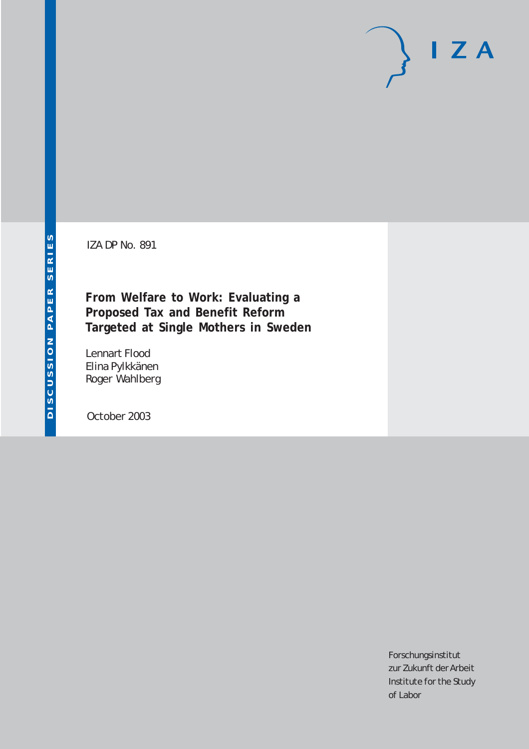IZA DP No. 891

**From Welfare to Work: Evaluating a Proposed Tax and Benefit Reform Targeted at Single Mothers in Sweden**

Lennart Flood Elina Pylkkänen Roger Wahlberg

October 2003

Forschungsinstitut zur Zukunft der Arbeit Institute for the Study of Labor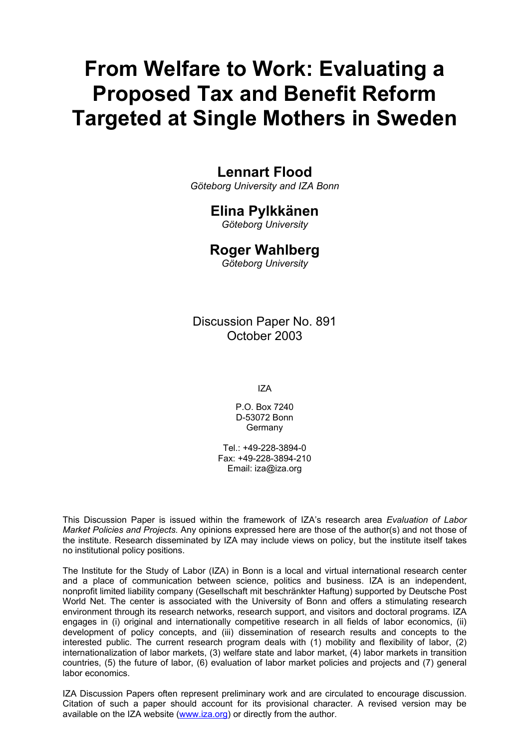# **From Welfare to Work: Evaluating a Proposed Tax and Benefit Reform Targeted at Single Mothers in Sweden**

# **Lennart Flood**

*Göteborg University and IZA Bonn* 

# **Elina Pylkkänen**

*Göteborg University* 

## **Roger Wahlberg**

*Göteborg University* 

Discussion Paper No. 891 October 2003

IZA

P.O. Box 7240 D-53072 Bonn **Germany** 

Tel.: +49-228-3894-0 Fax: +49-228-3894-210 Email: [iza@iza.org](mailto:iza@iza.org)

This Discussion Paper is issued within the framework of IZA's research area *Evaluation of Labor Market Policies and Projects.* Any opinions expressed here are those of the author(s) and not those of the institute. Research disseminated by IZA may include views on policy, but the institute itself takes no institutional policy positions.

The Institute for the Study of Labor (IZA) in Bonn is a local and virtual international research center and a place of communication between science, politics and business. IZA is an independent, nonprofit limited liability company (Gesellschaft mit beschränkter Haftung) supported by Deutsche Post World Net. The center is associated with the University of Bonn and offers a stimulating research environment through its research networks, research support, and visitors and doctoral programs. IZA engages in (i) original and internationally competitive research in all fields of labor economics, (ii) development of policy concepts, and (iii) dissemination of research results and concepts to the interested public. The current research program deals with (1) mobility and flexibility of labor, (2) internationalization of labor markets, (3) welfare state and labor market, (4) labor markets in transition countries, (5) the future of labor, (6) evaluation of labor market policies and projects and (7) general labor economics.

IZA Discussion Papers often represent preliminary work and are circulated to encourage discussion. Citation of such a paper should account for its provisional character. A revised version may be available on the IZA website ([www.iza.org](http://www.iza.org/)) or directly from the author.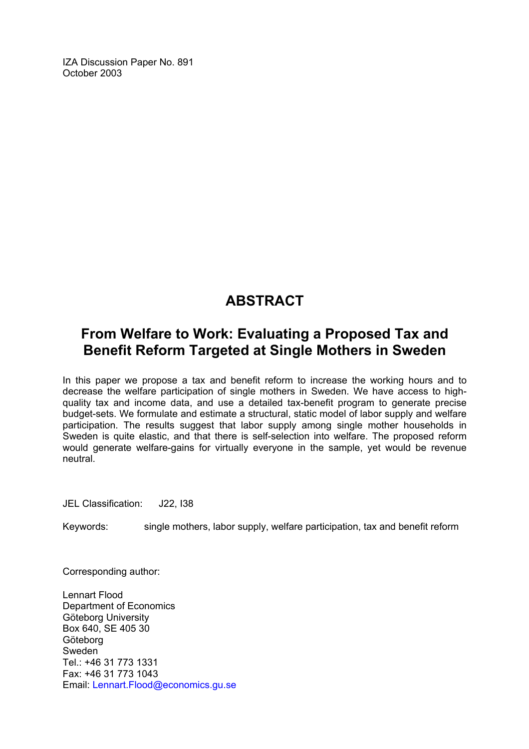IZA Discussion Paper No. 891 October 2003

# **ABSTRACT**

# **From Welfare to Work: Evaluating a Proposed Tax and Benefit Reform Targeted at Single Mothers in Sweden**

In this paper we propose a tax and benefit reform to increase the working hours and to decrease the welfare participation of single mothers in Sweden. We have access to highquality tax and income data, and use a detailed tax-benefit program to generate precise budget-sets. We formulate and estimate a structural, static model of labor supply and welfare participation. The results suggest that labor supply among single mother households in Sweden is quite elastic, and that there is self-selection into welfare. The proposed reform would generate welfare-gains for virtually everyone in the sample, yet would be revenue neutral.

JEL Classification: J22, I38

Keywords: single mothers, labor supply, welfare participation, tax and benefit reform

Corresponding author:

Lennart Flood Department of Economics Göteborg University Box 640, SE 405 30 Göteborg Sweden Tel.: +46 31 773 1331 Fax: +46 31 773 1043 Email: [Lennart.Flood@economics.gu.se](mailto:Lennart.Flood@economics.gu.se)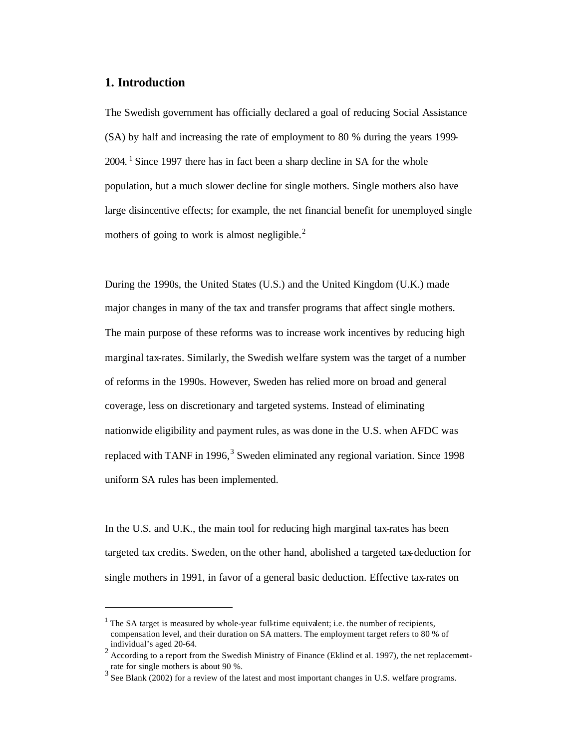#### **1. Introduction**

 $\overline{a}$ 

The Swedish government has officially declared a goal of reducing Social Assistance (SA) by half and increasing the rate of employment to 80 % during the years 1999- 2004. <sup>1</sup> Since 1997 there has in fact been a sharp decline in SA for the whole population, but a much slower decline for single mothers. Single mothers also have large disincentive effects; for example, the net financial benefit for unemployed single mothers of going to work is almost negligible. $<sup>2</sup>$ </sup>

During the 1990s, the United States (U.S.) and the United Kingdom (U.K.) made major changes in many of the tax and transfer programs that affect single mothers. The main purpose of these reforms was to increase work incentives by reducing high marginal tax-rates. Similarly, the Swedish welfare system was the target of a number of reforms in the 1990s. However, Sweden has relied more on broad and general coverage, less on discretionary and targeted systems. Instead of eliminating nationwide eligibility and payment rules, as was done in the U.S. when AFDC was replaced with TANF in 1996,<sup>3</sup> Sweden eliminated any regional variation. Since 1998 uniform SA rules has been implemented.

In the U.S. and U.K., the main tool for reducing high marginal tax-rates has been targeted tax credits. Sweden, on the other hand, abolished a targeted tax-deduction for single mothers in 1991, in favor of a general basic deduction. Effective tax-rates on

<sup>&</sup>lt;sup>1</sup> The SA target is measured by whole-year full-time equivalent; i.e. the number of recipients, compensation level, and their duration on SA matters. The employment target refers to 80 % of individual's aged 20-64. 2 According to a report from the Swedish Ministry of Finance (Eklind et al. 1997), the net replacement-

rate for single mothers is about 90 %.

 $3$  See Blank (2002) for a review of the latest and most important changes in U.S. welfare programs.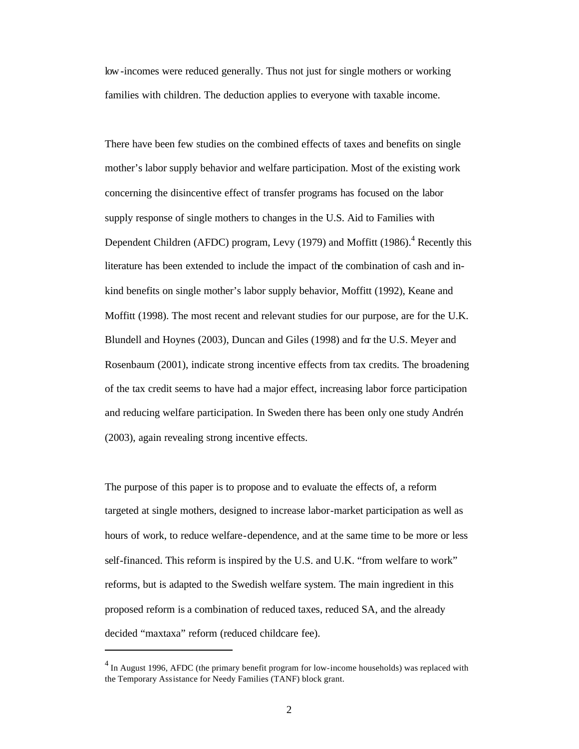low-incomes were reduced generally. Thus not just for single mothers or working families with children. The deduction applies to everyone with taxable income.

There have been few studies on the combined effects of taxes and benefits on single mother's labor supply behavior and welfare participation. Most of the existing work concerning the disincentive effect of transfer programs has focused on the labor supply response of single mothers to changes in the U.S. Aid to Families with Dependent Children (AFDC) program, Levy (1979) and Moffitt  $(1986)$ <sup>4</sup> Recently this literature has been extended to include the impact of the combination of cash and inkind benefits on single mother's labor supply behavior, Moffitt (1992), Keane and Moffitt (1998). The most recent and relevant studies for our purpose, are for the U.K. Blundell and Hoynes (2003), Duncan and Giles (1998) and for the U.S. Meyer and Rosenbaum (2001), indicate strong incentive effects from tax credits. The broadening of the tax credit seems to have had a major effect, increasing labor force participation and reducing welfare participation. In Sweden there has been only one study Andrén (2003), again revealing strong incentive effects.

The purpose of this paper is to propose and to evaluate the effects of, a reform targeted at single mothers, designed to increase labor-market participation as well as hours of work, to reduce welfare-dependence, and at the same time to be more or less self-financed. This reform is inspired by the U.S. and U.K. "from welfare to work" reforms, but is adapted to the Swedish welfare system. The main ingredient in this proposed reform is a combination of reduced taxes, reduced SA, and the already decided "maxtaxa" reform (reduced childcare fee).

 $<sup>4</sup>$  In August 1996, AFDC (the primary benefit program for low-income households) was replaced with</sup> the Temporary Assistance for Needy Families (TANF) block grant.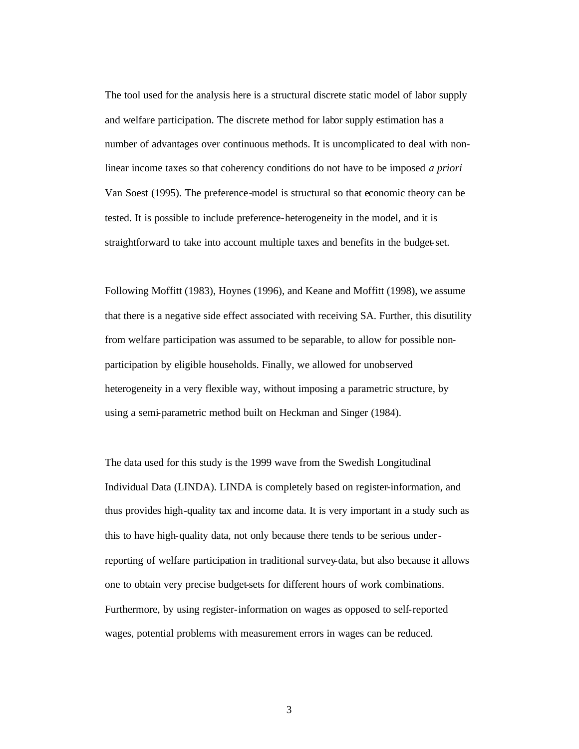The tool used for the analysis here is a structural discrete static model of labor supply and welfare participation. The discrete method for labor supply estimation has a number of advantages over continuous methods. It is uncomplicated to deal with nonlinear income taxes so that coherency conditions do not have to be imposed *a priori* Van Soest (1995). The preference-model is structural so that economic theory can be tested. It is possible to include preference-heterogeneity in the model, and it is straightforward to take into account multiple taxes and benefits in the budget-set.

Following Moffitt (1983), Hoynes (1996), and Keane and Moffitt (1998), we assume that there is a negative side effect associated with receiving SA. Further, this disutility from welfare participation was assumed to be separable, to allow for possible nonparticipation by eligible households. Finally, we allowed for unobserved heterogeneity in a very flexible way, without imposing a parametric structure, by using a semi-parametric method built on Heckman and Singer (1984).

The data used for this study is the 1999 wave from the Swedish Longitudinal Individual Data (LINDA). LINDA is completely based on register-information, and thus provides high-quality tax and income data. It is very important in a study such as this to have high-quality data, not only because there tends to be serious underreporting of welfare participation in traditional survey-data, but also because it allows one to obtain very precise budget-sets for different hours of work combinations. Furthermore, by using register-information on wages as opposed to self-reported wages, potential problems with measurement errors in wages can be reduced.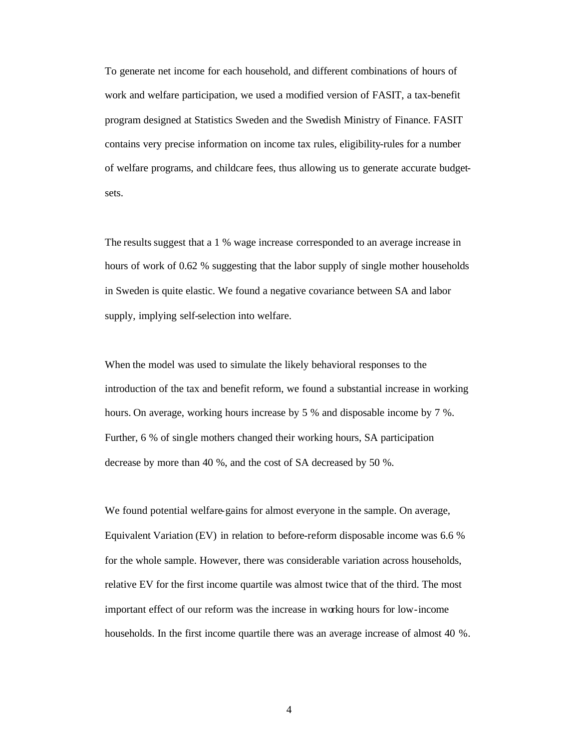To generate net income for each household, and different combinations of hours of work and welfare participation, we used a modified version of FASIT, a tax-benefit program designed at Statistics Sweden and the Swedish Ministry of Finance. FASIT contains very precise information on income tax rules, eligibility-rules for a number of welfare programs, and childcare fees, thus allowing us to generate accurate budgetsets.

The results suggest that a 1 % wage increase corresponded to an average increase in hours of work of 0.62 % suggesting that the labor supply of single mother households in Sweden is quite elastic. We found a negative covariance between SA and labor supply, implying self-selection into welfare.

When the model was used to simulate the likely behavioral responses to the introduction of the tax and benefit reform, we found a substantial increase in working hours. On average, working hours increase by 5 % and disposable income by 7 %. Further, 6 % of single mothers changed their working hours, SA participation decrease by more than 40 %, and the cost of SA decreased by 50 %.

We found potential welfare-gains for almost everyone in the sample. On average, Equivalent Variation (EV) in relation to before-reform disposable income was 6.6 % for the whole sample. However, there was considerable variation across households, relative EV for the first income quartile was almost twice that of the third. The most important effect of our reform was the increase in working hours for low-income households. In the first income quartile there was an average increase of almost 40 %.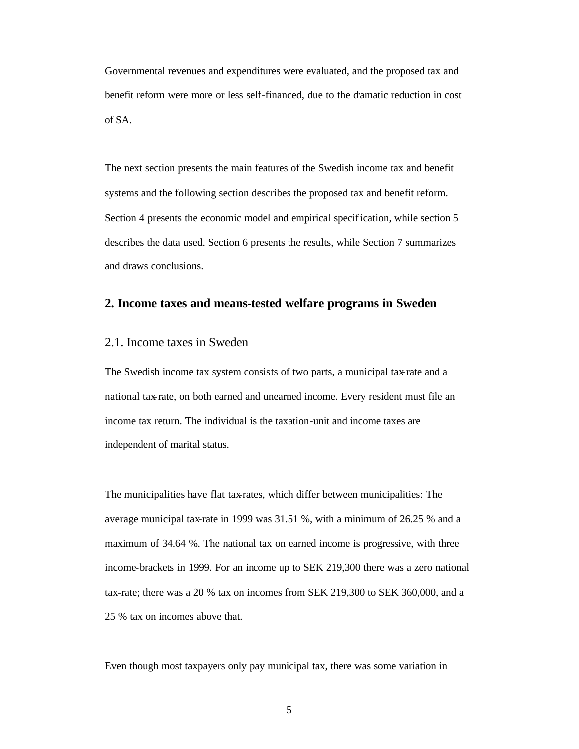Governmental revenues and expenditures were evaluated, and the proposed tax and benefit reform were more or less self-financed, due to the dramatic reduction in cost of SA.

The next section presents the main features of the Swedish income tax and benefit systems and the following section describes the proposed tax and benefit reform. Section 4 presents the economic model and empirical specification, while section 5 describes the data used. Section 6 presents the results, while Section 7 summarizes and draws conclusions.

#### **2. Income taxes and means-tested welfare programs in Sweden**

#### 2.1. Income taxes in Sweden

The Swedish income tax system consists of two parts, a municipal tax-rate and a national tax-rate, on both earned and unearned income. Every resident must file an income tax return. The individual is the taxation-unit and income taxes are independent of marital status.

The municipalities have flat tax-rates, which differ between municipalities: The average municipal tax-rate in 1999 was 31.51 %, with a minimum of 26.25 % and a maximum of 34.64 %. The national tax on earned income is progressive, with three income-brackets in 1999. For an income up to SEK 219,300 there was a zero national tax-rate; there was a 20 % tax on incomes from SEK 219,300 to SEK 360,000, and a 25 % tax on incomes above that.

Even though most taxpayers only pay municipal tax, there was some variation in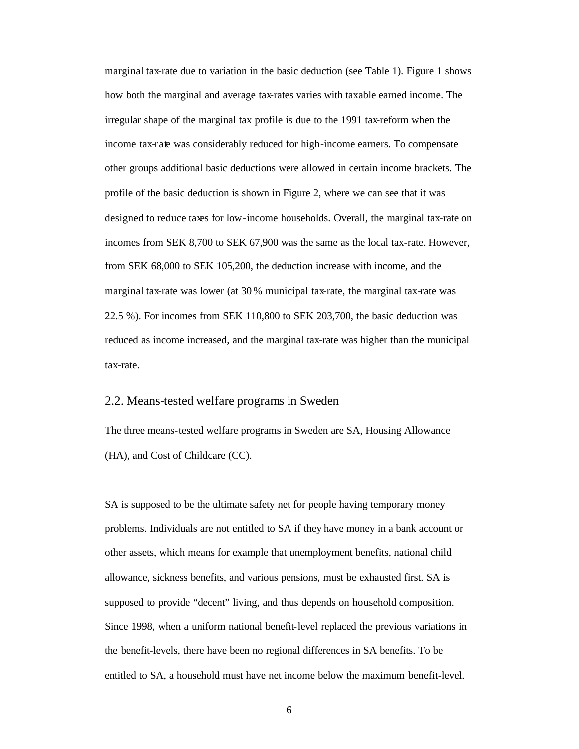marginal tax-rate due to variation in the basic deduction (see Table 1). Figure 1 shows how both the marginal and average tax-rates varies with taxable earned income. The irregular shape of the marginal tax profile is due to the 1991 tax-reform when the income tax-rate was considerably reduced for high-income earners. To compensate other groups additional basic deductions were allowed in certain income brackets. The profile of the basic deduction is shown in Figure 2, where we can see that it was designed to reduce taxes for low-income households. Overall, the marginal tax-rate on incomes from SEK 8,700 to SEK 67,900 was the same as the local tax-rate. However, from SEK 68,000 to SEK 105,200, the deduction increase with income, and the marginal tax-rate was lower (at 30 % municipal tax-rate, the marginal tax-rate was 22.5 %). For incomes from SEK 110,800 to SEK 203,700, the basic deduction was reduced as income increased, and the marginal tax-rate was higher than the municipal tax-rate.

#### 2.2. Means-tested welfare programs in Sweden

The three means-tested welfare programs in Sweden are SA, Housing Allowance (HA), and Cost of Childcare (CC).

SA is supposed to be the ultimate safety net for people having temporary money problems. Individuals are not entitled to SA if they have money in a bank account or other assets, which means for example that unemployment benefits, national child allowance, sickness benefits, and various pensions, must be exhausted first. SA is supposed to provide "decent" living, and thus depends on household composition. Since 1998, when a uniform national benefit-level replaced the previous variations in the benefit-levels, there have been no regional differences in SA benefits. To be entitled to SA, a household must have net income below the maximum benefit-level.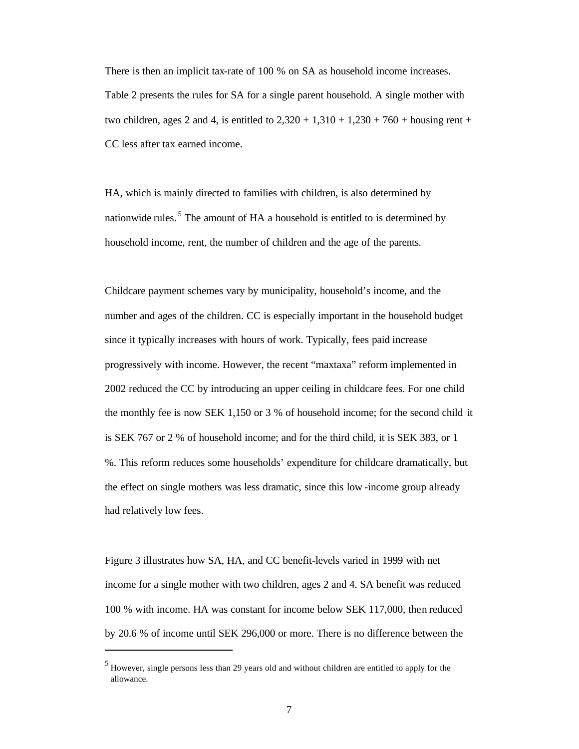There is then an implicit tax-rate of 100 % on SA as household income increases. Table 2 presents the rules for SA for a single parent household. A single mother with two children, ages 2 and 4, is entitled to  $2,320 + 1,310 + 1,230 + 760$  + housing rent + CC less after tax earned income.

HA, which is mainly directed to families with children, is also determined by nationwide rules.<sup>5</sup> The amount of HA a household is entitled to is determined by household income, rent, the number of children and the age of the parents.

Childcare payment schemes vary by municipality, household's income, and the number and ages of the children. CC is especially important in the household budget since it typically increases with hours of work. Typically, fees paid increase progressively with income. However, the recent "maxtaxa" reform implemented in 2002 reduced the CC by introducing an upper ceiling in childcare fees. For one child the monthly fee is now SEK 1,150 or 3 % of household income; for the second child it is SEK 767 or 2 % of household income; and for the third child, it is SEK 383, or 1 %. This reform reduces some households' expenditure for childcare dramatically, but the effect on single mothers was less dramatic, since this low -income group already had relatively low fees.

Figure 3 illustrates how SA, HA, and CC benefit-levels varied in 1999 with net income for a single mother with two children, ages 2 and 4. SA benefit was reduced 100 % with income. HA was constant for income below SEK 117,000, then reduced by 20.6 % of income until SEK 296,000 or more. There is no difference between the

 $<sup>5</sup>$  However, single persons less than 29 years old and without children are entitled to apply for the</sup> allowance.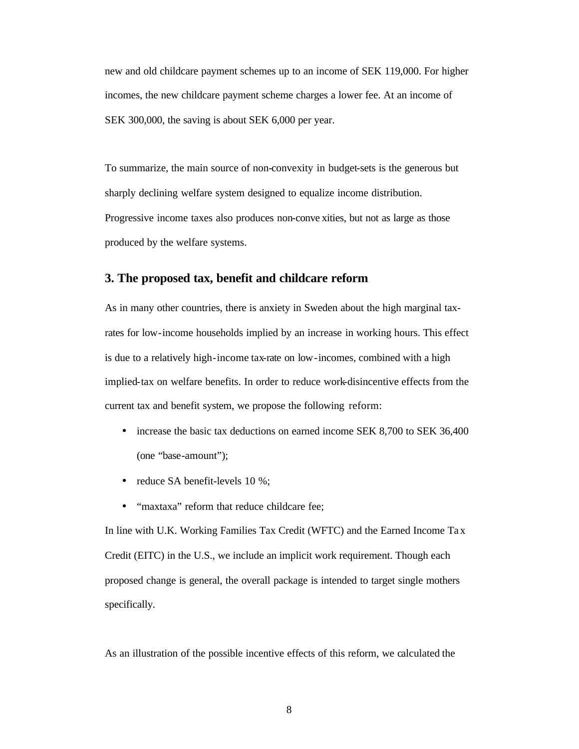new and old childcare payment schemes up to an income of SEK 119,000. For higher incomes, the new childcare payment scheme charges a lower fee. At an income of SEK 300,000, the saving is about SEK 6,000 per year.

To summarize, the main source of non-convexity in budget-sets is the generous but sharply declining welfare system designed to equalize income distribution. Progressive income taxes also produces non-conve xities, but not as large as those produced by the welfare systems.

#### **3. The proposed tax, benefit and childcare reform**

As in many other countries, there is anxiety in Sweden about the high marginal taxrates for low-income households implied by an increase in working hours. This effect is due to a relatively high-income tax-rate on low-incomes, combined with a high implied-tax on welfare benefits. In order to reduce work-disincentive effects from the current tax and benefit system, we propose the following reform:

- increase the basic tax deductions on earned income SEK 8,700 to SEK 36,400 (one "base-amount");
- reduce SA benefit-levels 10 %;
- "maxtaxa" reform that reduce childcare fee;

In line with U.K. Working Families Tax Credit (WFTC) and the Earned Income Ta x Credit (EITC) in the U.S., we include an implicit work requirement. Though each proposed change is general, the overall package is intended to target single mothers specifically.

As an illustration of the possible incentive effects of this reform, we calculated the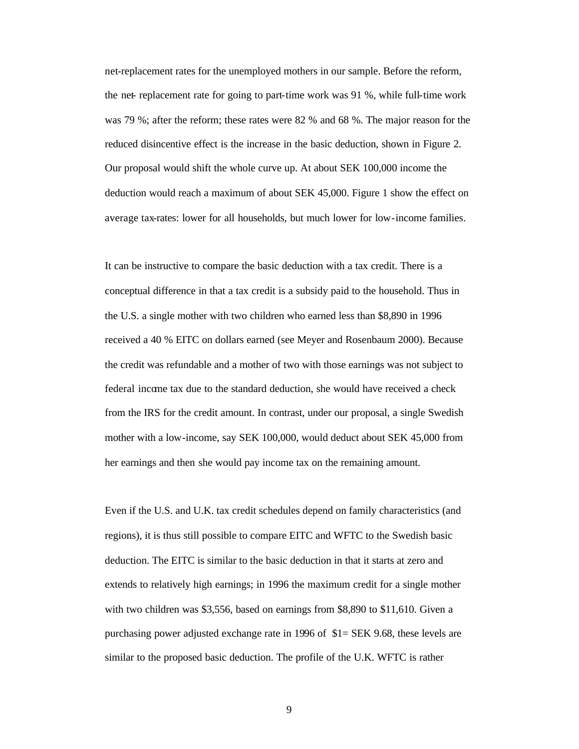net-replacement rates for the unemployed mothers in our sample. Before the reform, the net- replacement rate for going to part-time work was 91 %, while full-time work was 79 %; after the reform; these rates were 82 % and 68 %. The major reason for the reduced disincentive effect is the increase in the basic deduction, shown in Figure 2. Our proposal would shift the whole curve up. At about SEK 100,000 income the deduction would reach a maximum of about SEK 45,000. Figure 1 show the effect on average tax-rates: lower for all households, but much lower for low-income families.

It can be instructive to compare the basic deduction with a tax credit. There is a conceptual difference in that a tax credit is a subsidy paid to the household. Thus in the U.S. a single mother with two children who earned less than \$8,890 in 1996 received a 40 % EITC on dollars earned (see Meyer and Rosenbaum 2000). Because the credit was refundable and a mother of two with those earnings was not subject to federal income tax due to the standard deduction, she would have received a check from the IRS for the credit amount. In contrast, under our proposal, a single Swedish mother with a low-income, say SEK 100,000, would deduct about SEK 45,000 from her earnings and then she would pay income tax on the remaining amount.

Even if the U.S. and U.K. tax credit schedules depend on family characteristics (and regions), it is thus still possible to compare EITC and WFTC to the Swedish basic deduction. The EITC is similar to the basic deduction in that it starts at zero and extends to relatively high earnings; in 1996 the maximum credit for a single mother with two children was \$3,556, based on earnings from \$8,890 to \$11,610. Given a purchasing power adjusted exchange rate in 1996 of \$1= SEK 9.68, these levels are similar to the proposed basic deduction. The profile of the U.K. WFTC is rather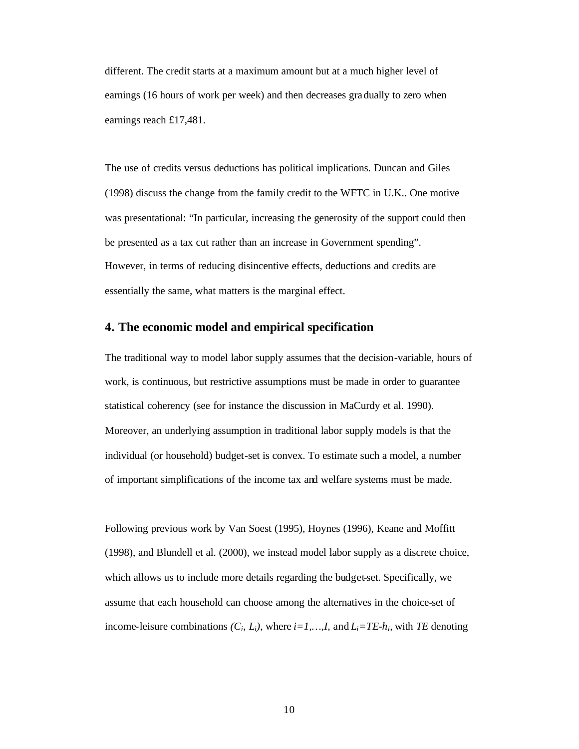different. The credit starts at a maximum amount but at a much higher level of earnings (16 hours of work per week) and then decreases gradually to zero when earnings reach £17,481.

The use of credits versus deductions has political implications. Duncan and Giles (1998) discuss the change from the family credit to the WFTC in U.K.. One motive was presentational: "In particular, increasing the generosity of the support could then be presented as a tax cut rather than an increase in Government spending". However, in terms of reducing disincentive effects, deductions and credits are essentially the same, what matters is the marginal effect.

#### **4. The economic model and empirical specification**

The traditional way to model labor supply assumes that the decision-variable, hours of work, is continuous, but restrictive assumptions must be made in order to guarantee statistical coherency (see for instance the discussion in MaCurdy et al. 1990). Moreover, an underlying assumption in traditional labor supply models is that the individual (or household) budget-set is convex. To estimate such a model, a number of important simplifications of the income tax and welfare systems must be made.

Following previous work by Van Soest (1995), Hoynes (1996), Keane and Moffitt (1998), and Blundell et al. (2000), we instead model labor supply as a discrete choice, which allows us to include more details regarding the budget-set. Specifically, we assume that each household can choose among the alternatives in the choice-set of income-leisure combinations  $(C_i, L_i)$ , where  $i=1,\ldots,I$ , and  $L_i = TE-h_i$ , with *TE* denoting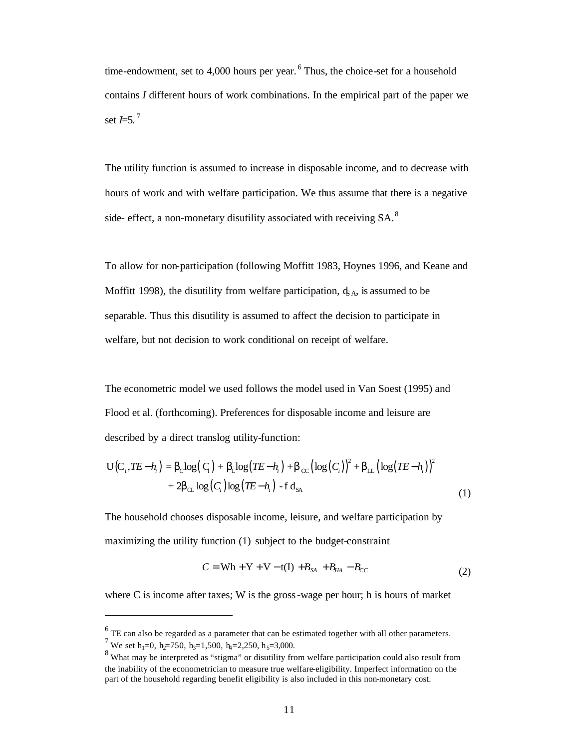time-endowment, set to 4,000 hours per year. <sup>6</sup> Thus, the choice-set for a household contains *I* different hours of work combinations. In the empirical part of the paper we set  $$ 

The utility function is assumed to increase in disposable income, and to decrease with hours of work and with welfare participation. We thus assume that there is a negative side- effect, a non-monetary disutility associated with receiving SA.<sup>8</sup>

To allow for non-participation (following Moffitt 1983, Hoynes 1996, and Keane and Moffitt 1998), the disutility from welfare participation,  $\phi_A$ , is assumed to be separable. Thus this disutility is assumed to affect the decision to participate in welfare, but not decision to work conditional on receipt of welfare.

The econometric model we used follows the model used in Van Soest (1995) and Flood et al. (forthcoming). Preferences for disposable income and leisure are described by a direct translog utility-function:

$$
U(C_i, TE - h_i) = \boldsymbol{b}_c \log(C_i) + \boldsymbol{b}_c \log(TE - h_i) + \boldsymbol{b}_{cc} (\log(C_i))^2 + \boldsymbol{b}_{c} (\log(TE - h_i))^2
$$
  
+  $2\boldsymbol{b}_{c} \log(C_i) \log(TE - h_i) - f d_{SA}$  (1)

The household chooses disposable income, leisure, and welfare participation by maximizing the utility function (1) subject to the budget-constraint

$$
C = \text{Wh} + \text{Y} + \text{V} - \text{t(I)} + B_{SA} + B_{HA} - B_{CC}
$$
 (2)

where C is income after taxes; W is the gross-wage per hour; h is hours of market

 $\overline{\phantom{a}}$ 

 $<sup>6</sup>$  TE can also be regarded as a parameter that can be estimated together with all other parameters.</sup>

<sup>7</sup> We set h<sub>1</sub>=0, h<sub>2</sub>=750, h<sub>3</sub>=1,500, h<sub>4</sub>=2,250, h<sub>5</sub>=3,000.

<sup>8</sup> What may be interpreted as "stigma" or disutility from welfare participation could also result from the inability of the econometrician to measure true welfare-eligibility. Imperfect information on the part of the household regarding benefit eligibility is also included in this non-monetary cost.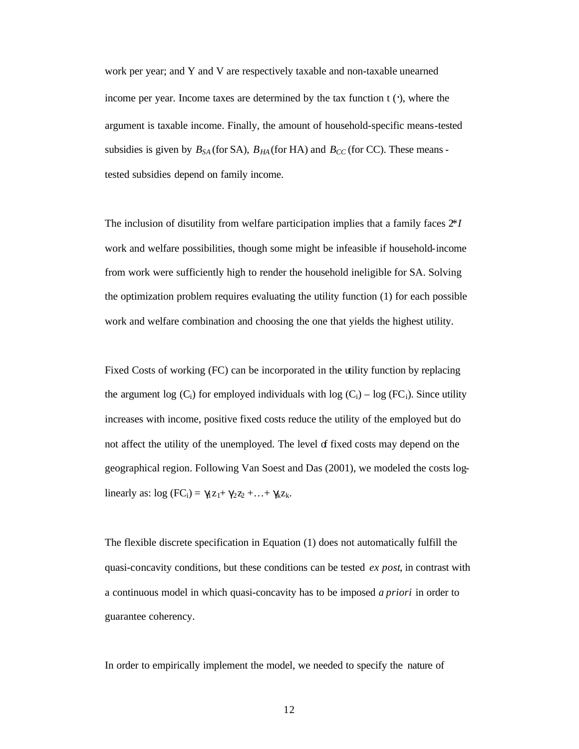work per year; and Y and V are respectively taxable and non-taxable unearned income per year. Income taxes are determined by the tax function  $t(\cdot)$ , where the argument is taxable income. Finally, the amount of household-specific means-tested subsidies is given by  $B_{SA}$  (for SA),  $B_{HA}$  (for HA) and  $B_{CC}$  (for CC). These means tested subsidies depend on family income.

The inclusion of disutility from welfare participation implies that a family faces 2*\*I* work and welfare possibilities, though some might be infeasible if household-income from work were sufficiently high to render the household ineligible for SA. Solving the optimization problem requires evaluating the utility function (1) for each possible work and welfare combination and choosing the one that yields the highest utility.

Fixed Costs of working (FC) can be incorporated in the utility function by replacing the argument log  $(C_i)$  for employed individuals with log  $(C_i)$  – log (FC<sub>i</sub>). Since utility increases with income, positive fixed costs reduce the utility of the employed but do not affect the utility of the unemployed. The level  $\sigma$  fixed costs may depend on the geographical region. Following Van Soest and Das (2001), we modeled the costs loglinearly as:  $log (FC_i) = \gamma_1 z_1 + \gamma_2 z_2 + \ldots + \gamma_k z_k$ .

The flexible discrete specification in Equation (1) does not automatically fulfill the quasi-concavity conditions, but these conditions can be tested *ex post*, in contrast with a continuous model in which quasi-concavity has to be imposed *a priori* in order to guarantee coherency.

In order to empirically implement the model, we needed to specify the nature of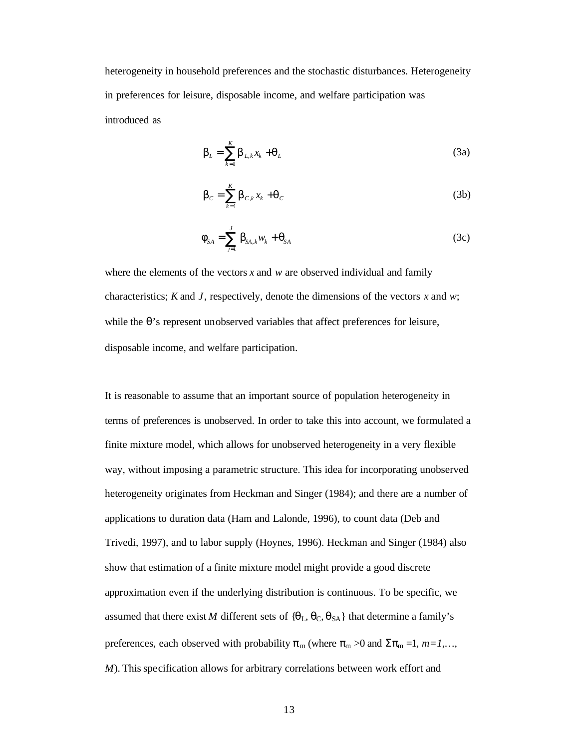heterogeneity in household preferences and the stochastic disturbances. Heterogeneity in preferences for leisure, disposable income, and welfare participation was introduced as

$$
\boldsymbol{b}_L = \sum_{k=1}^K \boldsymbol{b}_{L,k} x_k + \boldsymbol{q}_L
$$
 (3a)

$$
\boldsymbol{b}_C = \sum_{k=1}^K \boldsymbol{b}_{C,k} x_k + \boldsymbol{q}_C \tag{3b}
$$

$$
\boldsymbol{f}_{SA} = \sum_{j=1}^{J} \boldsymbol{b}_{SA,k} \boldsymbol{w}_{k} + \boldsymbol{q}_{SA}
$$
 (3c)

where the elements of the vectors *x* and *w* are observed individual and family characteristics; *K* and *J*, respectively, denote the dimensions of the vectors *x* and *w*; while the  $\theta$ 's represent unobserved variables that affect preferences for leisure, disposable income, and welfare participation.

It is reasonable to assume that an important source of population heterogeneity in terms of preferences is unobserved. In order to take this into account, we formulated a finite mixture model, which allows for unobserved heterogeneity in a very flexible way, without imposing a parametric structure. This idea for incorporating unobserved heterogeneity originates from Heckman and Singer (1984); and there are a number of applications to duration data (Ham and Lalonde, 1996), to count data (Deb and Trivedi, 1997), and to labor supply (Hoynes, 1996). Heckman and Singer (1984) also show that estimation of a finite mixture model might provide a good discrete approximation even if the underlying distribution is continuous. To be specific, we assumed that there exist *M* different sets of  $\{\theta_L, \theta_C, \theta_{SA}\}\$  that determine a family's preferences, each observed with probability  $\pi_m$  (where  $\pi_m > 0$  and  $\Sigma \pi_m = 1, m = 1, \dots$ ) *M*). This specification allows for arbitrary correlations between work effort and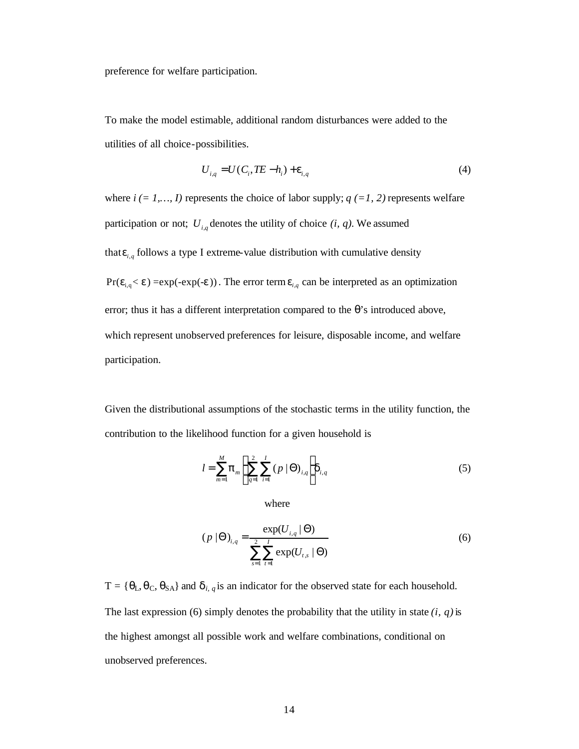preference for welfare participation.

To make the model estimable, additional random disturbances were added to the utilities of all choice-possibilities.

$$
U_{i,q} = U(C_i, TE - h_i) + \mathbf{e}_{i,q}
$$
 (4)

where  $i (= 1,..., I)$  represents the choice of labor supply;  $q (=1, 2)$  represents welfare participation or not;  $U_{i,q}$  denotes the utility of choice  $(i, q)$ . We assumed that  $e_{i,q}$  follows a type I extreme-value distribution with cumulative density  $Pr(e_{i,q} < e) = exp(-exp(-e))$ . The error term  $e_{i,q}$  can be interpreted as an optimization error; thus it has a different interpretation compared to the θ's introduced above, which represent unobserved preferences for leisure, disposable income, and welfare participation.

Given the distributional assumptions of the stochastic terms in the utility function, the contribution to the likelihood function for a given household is

$$
l = \sum_{m=1}^{M} p_m \left\{ \sum_{q=1}^{2} \sum_{i=1}^{I} (p \mid \Theta)_{i,q} \right\} d_{i,q}
$$
 (5)

where

$$
(p \mid \Theta)_{i,q} = \frac{\exp(U_{i,q} \mid \Theta)}{\sum_{s=1}^{2} \sum_{t=1}^{I} \exp(U_{t,s} \mid \Theta)}
$$
(6)

 $T = {\theta_L, \theta_C, \theta_{SA}}$  and  $\boldsymbol{d}_{i, q}$  is an indicator for the observed state for each household. The last expression (6) simply denotes the probability that the utility in state *(i, q)* is the highest amongst all possible work and welfare combinations, conditional on unobserved preferences.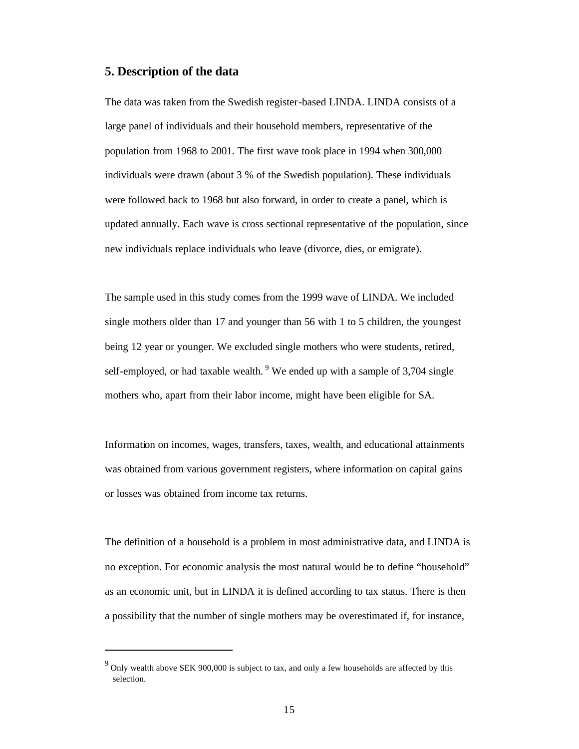#### **5. Description of the data**

The data was taken from the Swedish register-based LINDA. LINDA consists of a large panel of individuals and their household members, representative of the population from 1968 to 2001. The first wave took place in 1994 when 300,000 individuals were drawn (about 3 % of the Swedish population). These individuals were followed back to 1968 but also forward, in order to create a panel, which is updated annually. Each wave is cross sectional representative of the population, since new individuals replace individuals who leave (divorce, dies, or emigrate).

The sample used in this study comes from the 1999 wave of LINDA. We included single mothers older than 17 and younger than 56 with 1 to 5 children, the youngest being 12 year or younger. We excluded single mothers who were students, retired, self-employed, or had taxable wealth. <sup>9</sup> We ended up with a sample of 3,704 single mothers who, apart from their labor income, might have been eligible for SA.

Information on incomes, wages, transfers, taxes, wealth, and educational attainments was obtained from various government registers, where information on capital gains or losses was obtained from income tax returns.

The definition of a household is a problem in most administrative data, and LINDA is no exception. For economic analysis the most natural would be to define "household" as an economic unit, but in LINDA it is defined according to tax status. There is then a possibility that the number of single mothers may be overestimated if, for instance,

 $9^9$  Only wealth above SEK 900,000 is subject to tax, and only a few households are affected by this selection.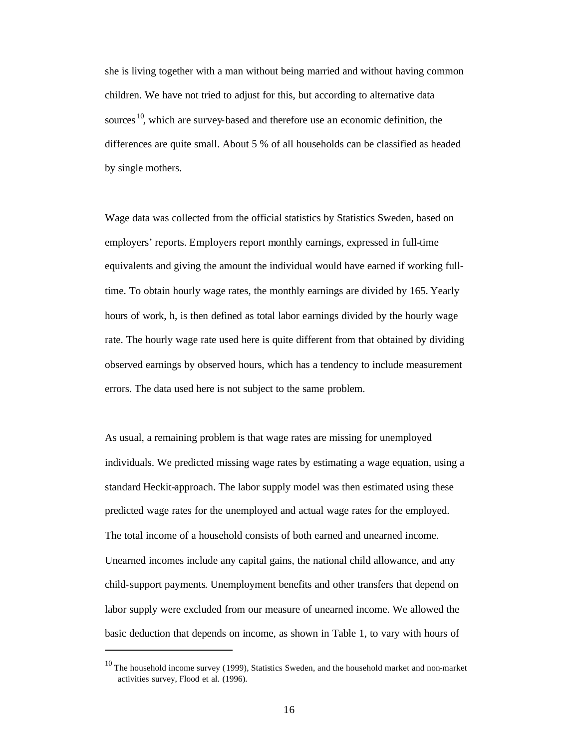she is living together with a man without being married and without having common children. We have not tried to adjust for this, but according to alternative data sources<sup>10</sup>, which are survey-based and therefore use an economic definition, the differences are quite small. About 5 % of all households can be classified as headed by single mothers.

Wage data was collected from the official statistics by Statistics Sweden, based on employers' reports. Employers report monthly earnings, expressed in full-time equivalents and giving the amount the individual would have earned if working fulltime. To obtain hourly wage rates, the monthly earnings are divided by 165. Yearly hours of work, h, is then defined as total labor earnings divided by the hourly wage rate. The hourly wage rate used here is quite different from that obtained by dividing observed earnings by observed hours, which has a tendency to include measurement errors. The data used here is not subject to the same problem.

As usual, a remaining problem is that wage rates are missing for unemployed individuals. We predicted missing wage rates by estimating a wage equation, using a standard Heckit-approach. The labor supply model was then estimated using these predicted wage rates for the unemployed and actual wage rates for the employed. The total income of a household consists of both earned and unearned income. Unearned incomes include any capital gains, the national child allowance, and any child-support payments. Unemployment benefits and other transfers that depend on labor supply were excluded from our measure of unearned income. We allowed the basic deduction that depends on income, as shown in Table 1, to vary with hours of

 $10$  The household income survey (1999), Statistics Sweden, and the household market and non-market activities survey, Flood et al. (1996).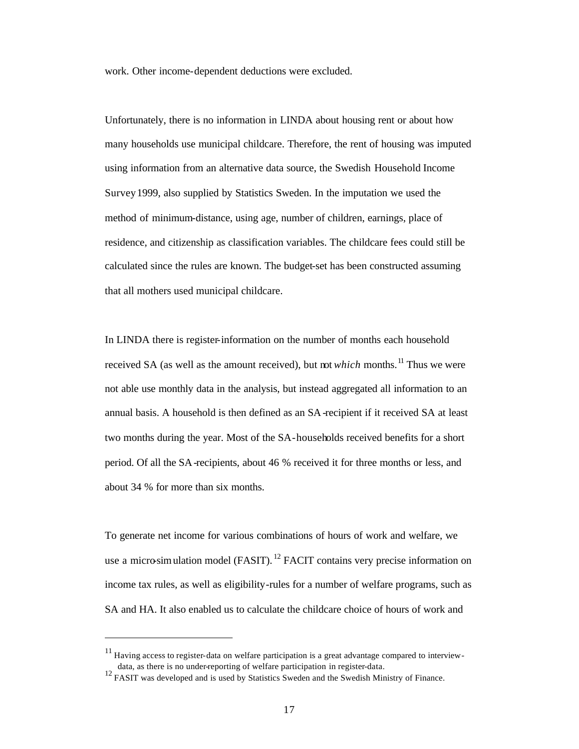work. Other income-dependent deductions were excluded.

Unfortunately, there is no information in LINDA about housing rent or about how many households use municipal childcare. Therefore, the rent of housing was imputed using information from an alternative data source, the Swedish Household Income Survey 1999, also supplied by Statistics Sweden. In the imputation we used the method of minimum-distance, using age, number of children, earnings, place of residence, and citizenship as classification variables. The childcare fees could still be calculated since the rules are known. The budget-set has been constructed assuming that all mothers used municipal childcare.

In LINDA there is register-information on the number of months each household received SA (as well as the amount received), but not *which* months.<sup>11</sup> Thus we were not able use monthly data in the analysis, but instead aggregated all information to an annual basis. A household is then defined as an SA-recipient if it received SA at least two months during the year. Most of the SA-households received benefits for a short period. Of all the SA-recipients, about 46 % received it for three months or less, and about 34 % for more than six months.

To generate net income for various combinations of hours of work and welfare, we use a micro-simulation model (FASIT).  $^{12}$  FACIT contains very precise information on income tax rules, as well as eligibility-rules for a number of welfare programs, such as SA and HA. It also enabled us to calculate the childcare choice of hours of work and

<sup>&</sup>lt;sup>11</sup> Having access to register-data on welfare participation is a great advantage compared to interview-

data, as there is no under-reporting of welfare participation in register-data. <sup>12</sup> FASIT was developed and is used by Statistics Sweden and the Swedish Ministry of Finance.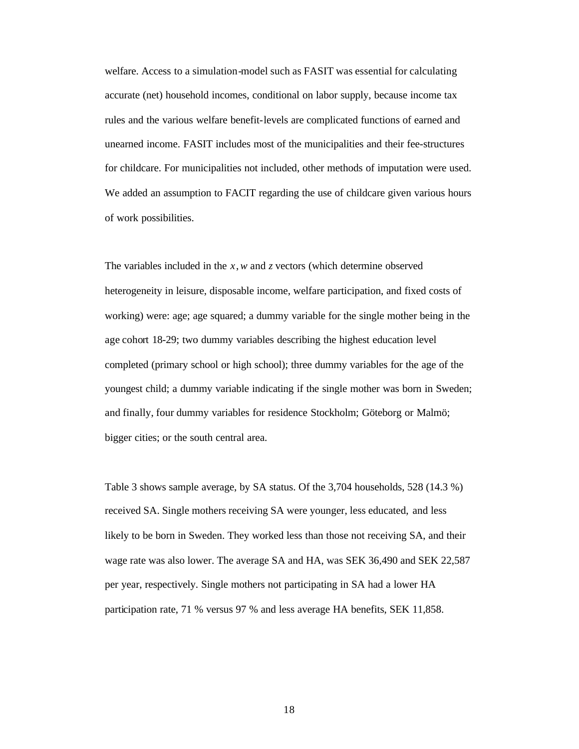welfare. Access to a simulation-model such as FASIT was essential for calculating accurate (net) household incomes, conditional on labor supply, because income tax rules and the various welfare benefit-levels are complicated functions of earned and unearned income. FASIT includes most of the municipalities and their fee-structures for childcare. For municipalities not included, other methods of imputation were used. We added an assumption to FACIT regarding the use of childcare given various hours of work possibilities.

The variables included in the *x*, *w* and *z* vectors (which determine observed heterogeneity in leisure, disposable income, welfare participation, and fixed costs of working) were: age; age squared; a dummy variable for the single mother being in the age cohort 18-29; two dummy variables describing the highest education level completed (primary school or high school); three dummy variables for the age of the youngest child; a dummy variable indicating if the single mother was born in Sweden; and finally, four dummy variables for residence Stockholm; Göteborg or Malmö; bigger cities; or the south central area.

Table 3 shows sample average, by SA status. Of the 3,704 households, 528 (14.3 %) received SA. Single mothers receiving SA were younger, less educated, and less likely to be born in Sweden. They worked less than those not receiving SA, and their wage rate was also lower. The average SA and HA, was SEK 36,490 and SEK 22,587 per year, respectively. Single mothers not participating in SA had a lower HA participation rate, 71 % versus 97 % and less average HA benefits, SEK 11,858.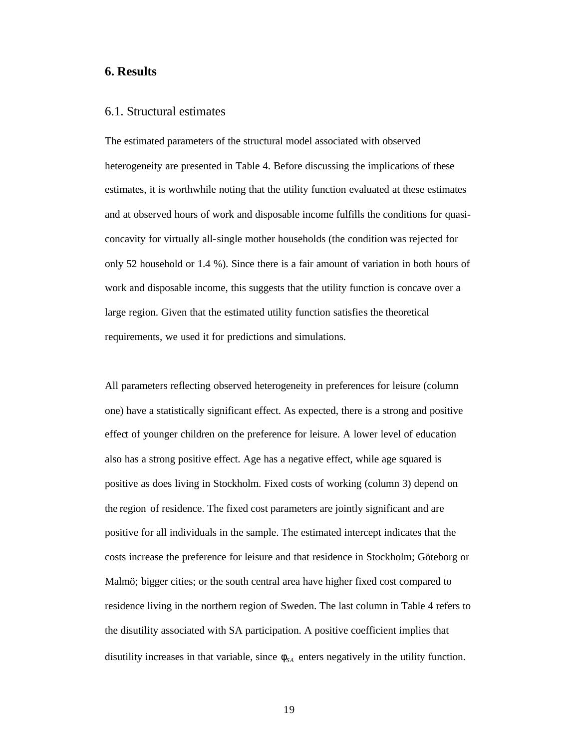#### **6. Results**

#### 6.1. Structural estimates

The estimated parameters of the structural model associated with observed heterogeneity are presented in Table 4. Before discussing the implications of these estimates, it is worthwhile noting that the utility function evaluated at these estimates and at observed hours of work and disposable income fulfills the conditions for quasiconcavity for virtually all-single mother households (the condition was rejected for only 52 household or 1.4 %). Since there is a fair amount of variation in both hours of work and disposable income, this suggests that the utility function is concave over a large region. Given that the estimated utility function satisfies the theoretical requirements, we used it for predictions and simulations.

All parameters reflecting observed heterogeneity in preferences for leisure (column one) have a statistically significant effect. As expected, there is a strong and positive effect of younger children on the preference for leisure. A lower level of education also has a strong positive effect. Age has a negative effect, while age squared is positive as does living in Stockholm. Fixed costs of working (column 3) depend on the region of residence. The fixed cost parameters are jointly significant and are positive for all individuals in the sample. The estimated intercept indicates that the costs increase the preference for leisure and that residence in Stockholm; Göteborg or Malmö; bigger cities; or the south central area have higher fixed cost compared to residence living in the northern region of Sweden. The last column in Table 4 refers to the disutility associated with SA participation. A positive coefficient implies that disutility increases in that variable, since  $f_{sA}$  enters negatively in the utility function.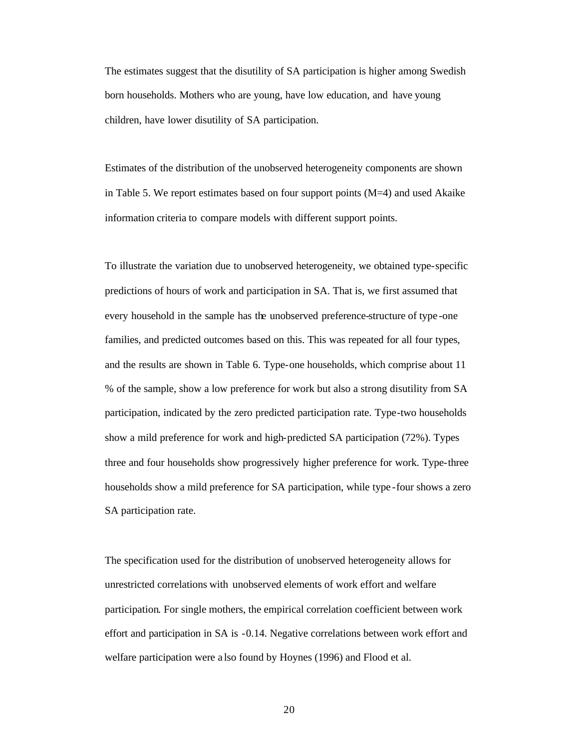The estimates suggest that the disutility of SA participation is higher among Swedish born households. Mothers who are young, have low education, and have young children, have lower disutility of SA participation.

Estimates of the distribution of the unobserved heterogeneity components are shown in Table 5. We report estimates based on four support points  $(M=4)$  and used Akaike information criteria to compare models with different support points.

To illustrate the variation due to unobserved heterogeneity, we obtained type-specific predictions of hours of work and participation in SA. That is, we first assumed that every household in the sample has the unobserved preference-structure of type -one families, and predicted outcomes based on this. This was repeated for all four types, and the results are shown in Table 6. Type-one households, which comprise about 11 % of the sample, show a low preference for work but also a strong disutility from SA participation, indicated by the zero predicted participation rate. Type-two households show a mild preference for work and high-predicted SA participation (72%). Types three and four households show progressively higher preference for work. Type-three households show a mild preference for SA participation, while type -four shows a zero SA participation rate.

The specification used for the distribution of unobserved heterogeneity allows for unrestricted correlations with unobserved elements of work effort and welfare participation. For single mothers, the empirical correlation coefficient between work effort and participation in SA is -0.14. Negative correlations between work effort and welfare participation were a lso found by Hoynes (1996) and Flood et al.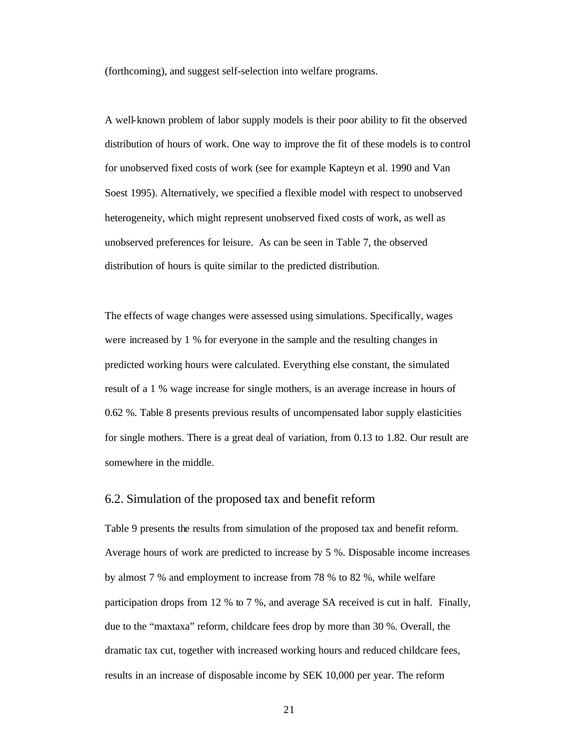(forthcoming), and suggest self-selection into welfare programs.

A well-known problem of labor supply models is their poor ability to fit the observed distribution of hours of work. One way to improve the fit of these models is to control for unobserved fixed costs of work (see for example Kapteyn et al. 1990 and Van Soest 1995). Alternatively, we specified a flexible model with respect to unobserved heterogeneity, which might represent unobserved fixed costs of work, as well as unobserved preferences for leisure. As can be seen in Table 7, the observed distribution of hours is quite similar to the predicted distribution.

The effects of wage changes were assessed using simulations. Specifically, wages were increased by 1 % for everyone in the sample and the resulting changes in predicted working hours were calculated. Everything else constant, the simulated result of a 1 % wage increase for single mothers, is an average increase in hours of 0.62 %. Table 8 presents previous results of uncompensated labor supply elasticities for single mothers. There is a great deal of variation, from 0.13 to 1.82. Our result are somewhere in the middle.

#### 6.2. Simulation of the proposed tax and benefit reform

Table 9 presents the results from simulation of the proposed tax and benefit reform. Average hours of work are predicted to increase by 5 %. Disposable income increases by almost 7 % and employment to increase from 78 % to 82 %, while welfare participation drops from 12 % to 7 %, and average SA received is cut in half. Finally, due to the "maxtaxa" reform, childcare fees drop by more than 30 %. Overall, the dramatic tax cut, together with increased working hours and reduced childcare fees, results in an increase of disposable income by SEK 10,000 per year. The reform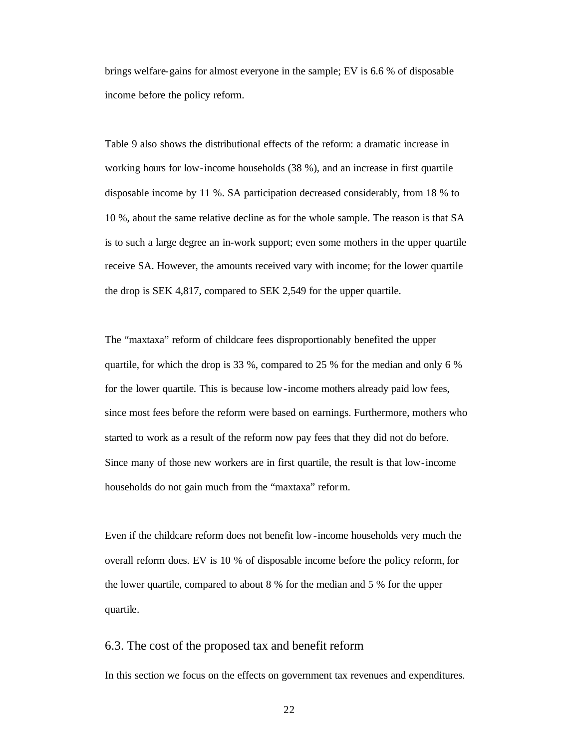brings welfare-gains for almost everyone in the sample; EV is 6.6 % of disposable income before the policy reform.

Table 9 also shows the distributional effects of the reform: a dramatic increase in working hours for low-income households (38 %), and an increase in first quartile disposable income by 11 %. SA participation decreased considerably, from 18 % to 10 %, about the same relative decline as for the whole sample. The reason is that SA is to such a large degree an in-work support; even some mothers in the upper quartile receive SA. However, the amounts received vary with income; for the lower quartile the drop is SEK 4,817, compared to SEK 2,549 for the upper quartile.

The "maxtaxa" reform of childcare fees disproportionably benefited the upper quartile, for which the drop is 33 %, compared to 25 % for the median and only 6 % for the lower quartile. This is because low-income mothers already paid low fees, since most fees before the reform were based on earnings. Furthermore, mothers who started to work as a result of the reform now pay fees that they did not do before. Since many of those new workers are in first quartile, the result is that low-income households do not gain much from the "maxtaxa" reform.

Even if the childcare reform does not benefit low-income households very much the overall reform does. EV is 10 % of disposable income before the policy reform, for the lower quartile, compared to about 8 % for the median and 5 % for the upper quartile.

#### 6.3. The cost of the proposed tax and benefit reform

In this section we focus on the effects on government tax revenues and expenditures.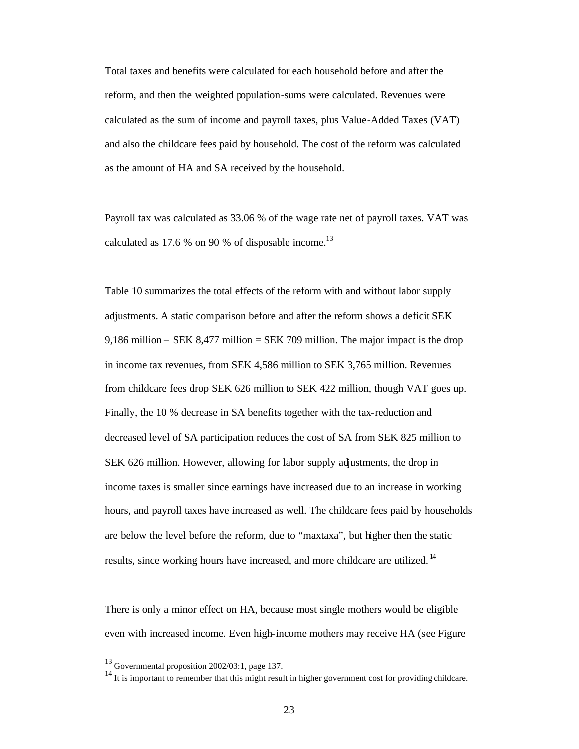Total taxes and benefits were calculated for each household before and after the reform, and then the weighted population-sums were calculated. Revenues were calculated as the sum of income and payroll taxes, plus Value-Added Taxes (VAT) and also the childcare fees paid by household. The cost of the reform was calculated as the amount of HA and SA received by the household.

Payroll tax was calculated as 33.06 % of the wage rate net of payroll taxes. VAT was calculated as 17.6 % on 90 % of disposable income.<sup>13</sup>

Table 10 summarizes the total effects of the reform with and without labor supply adjustments. A static comparison before and after the reform shows a deficit SEK 9,186 million – SEK 8,477 million = SEK 709 million. The major impact is the drop in income tax revenues, from SEK 4,586 million to SEK 3,765 million. Revenues from childcare fees drop SEK 626 million to SEK 422 million, though VAT goes up. Finally, the 10 % decrease in SA benefits together with the tax-reduction and decreased level of SA participation reduces the cost of SA from SEK 825 million to SEK 626 million. However, allowing for labor supply adjustments, the drop in income taxes is smaller since earnings have increased due to an increase in working hours, and payroll taxes have increased as well. The childcare fees paid by households are below the level before the reform, due to "maxtaxa", but higher then the static results, since working hours have increased, and more childcare are utilized. <sup>14</sup>

There is only a minor effect on HA, because most single mothers would be eligible even with increased income. Even high-income mothers may receive HA (see Figure

 $\overline{\phantom{a}}$ 

 $^{13}$  Governmental proposition 2002/03:1, page 137.

<sup>&</sup>lt;sup>14</sup> It is important to remember that this might result in higher government cost for providing childcare.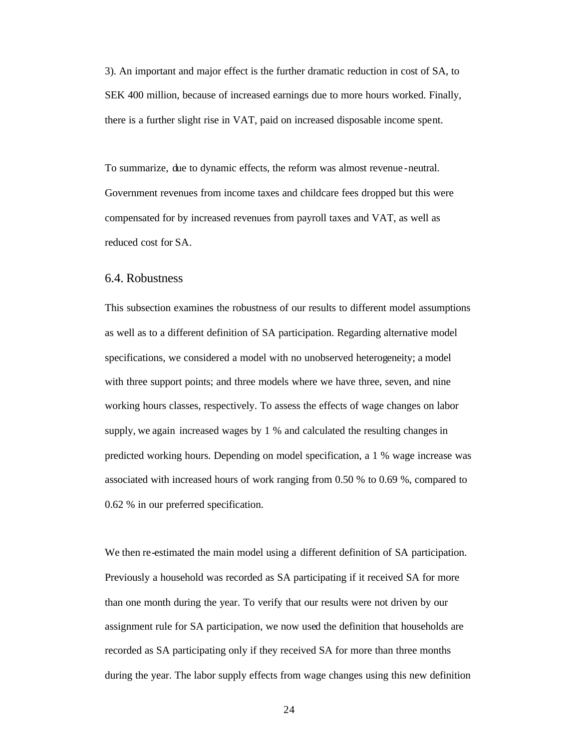3). An important and major effect is the further dramatic reduction in cost of SA, to SEK 400 million, because of increased earnings due to more hours worked. Finally, there is a further slight rise in VAT, paid on increased disposable income spent.

To summarize, due to dynamic effects, the reform was almost revenue -neutral. Government revenues from income taxes and childcare fees dropped but this were compensated for by increased revenues from payroll taxes and VAT, as well as reduced cost for SA.

#### 6.4. Robustness

This subsection examines the robustness of our results to different model assumptions as well as to a different definition of SA participation. Regarding alternative model specifications, we considered a model with no unobserved heterogeneity; a model with three support points; and three models where we have three, seven, and nine working hours classes, respectively. To assess the effects of wage changes on labor supply, we again increased wages by 1 % and calculated the resulting changes in predicted working hours. Depending on model specification, a 1 % wage increase was associated with increased hours of work ranging from 0.50 % to 0.69 %, compared to 0.62 % in our preferred specification.

We then re-estimated the main model using a different definition of SA participation. Previously a household was recorded as SA participating if it received SA for more than one month during the year. To verify that our results were not driven by our assignment rule for SA participation, we now used the definition that households are recorded as SA participating only if they received SA for more than three months during the year. The labor supply effects from wage changes using this new definition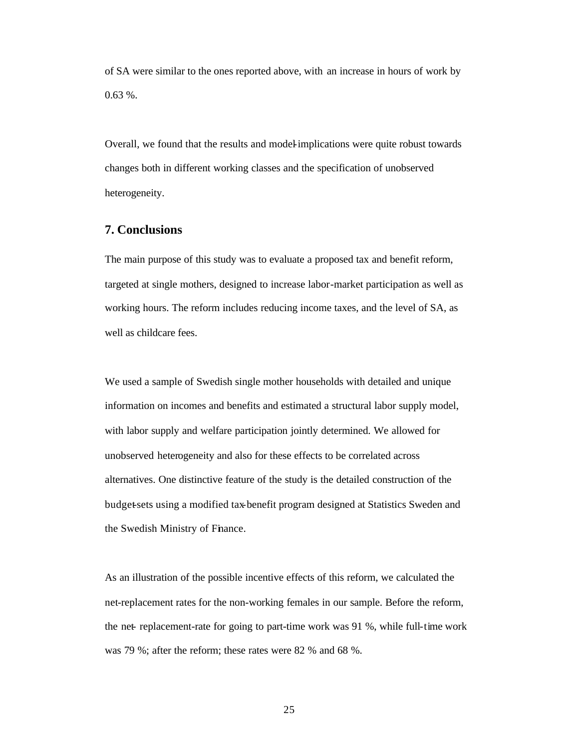of SA were similar to the ones reported above, with an increase in hours of work by  $0.63\%$ .

Overall, we found that the results and model-implications were quite robust towards changes both in different working classes and the specification of unobserved heterogeneity.

#### **7. Conclusions**

The main purpose of this study was to evaluate a proposed tax and benefit reform, targeted at single mothers, designed to increase labor-market participation as well as working hours. The reform includes reducing income taxes, and the level of SA, as well as childcare fees.

We used a sample of Swedish single mother households with detailed and unique information on incomes and benefits and estimated a structural labor supply model, with labor supply and welfare participation jointly determined. We allowed for unobserved heterogeneity and also for these effects to be correlated across alternatives. One distinctive feature of the study is the detailed construction of the budget-sets using a modified tax-benefit program designed at Statistics Sweden and the Swedish Ministry of Finance.

As an illustration of the possible incentive effects of this reform, we calculated the net-replacement rates for the non-working females in our sample. Before the reform, the net- replacement-rate for going to part-time work was 91 %, while full-time work was 79 %; after the reform; these rates were 82 % and 68 %.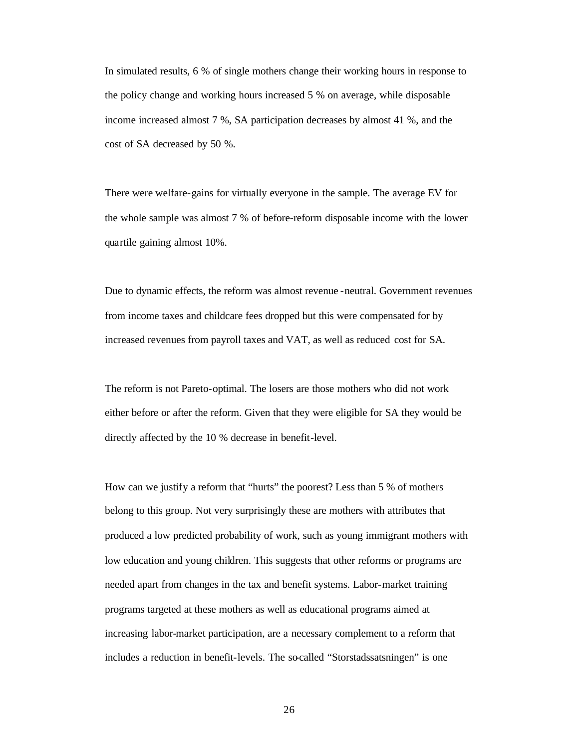In simulated results, 6 % of single mothers change their working hours in response to the policy change and working hours increased 5 % on average, while disposable income increased almost 7 %, SA participation decreases by almost 41 %, and the cost of SA decreased by 50 %.

There were welfare-gains for virtually everyone in the sample. The average EV for the whole sample was almost 7 % of before-reform disposable income with the lower quartile gaining almost 10%.

Due to dynamic effects, the reform was almost revenue -neutral. Government revenues from income taxes and childcare fees dropped but this were compensated for by increased revenues from payroll taxes and VAT, as well as reduced cost for SA.

The reform is not Pareto-optimal. The losers are those mothers who did not work either before or after the reform. Given that they were eligible for SA they would be directly affected by the 10 % decrease in benefit-level.

How can we justify a reform that "hurts" the poorest? Less than 5 % of mothers belong to this group. Not very surprisingly these are mothers with attributes that produced a low predicted probability of work, such as young immigrant mothers with low education and young children. This suggests that other reforms or programs are needed apart from changes in the tax and benefit systems. Labor-market training programs targeted at these mothers as well as educational programs aimed at increasing labor-market participation, are a necessary complement to a reform that includes a reduction in benefit-levels. The so-called "Storstadssatsningen" is one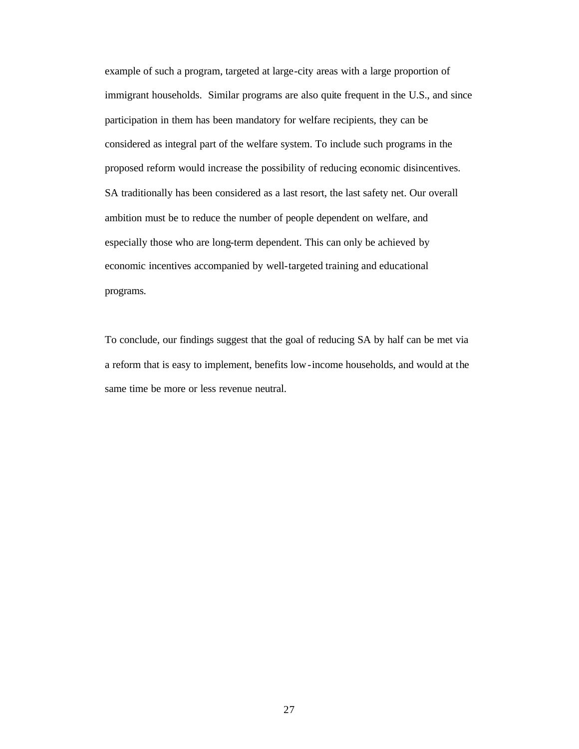example of such a program, targeted at large-city areas with a large proportion of immigrant households. Similar programs are also quite frequent in the U.S., and since participation in them has been mandatory for welfare recipients, they can be considered as integral part of the welfare system. To include such programs in the proposed reform would increase the possibility of reducing economic disincentives. SA traditionally has been considered as a last resort, the last safety net. Our overall ambition must be to reduce the number of people dependent on welfare, and especially those who are long-term dependent. This can only be achieved by economic incentives accompanied by well-targeted training and educational programs.

To conclude, our findings suggest that the goal of reducing SA by half can be met via a reform that is easy to implement, benefits low-income households, and would at the same time be more or less revenue neutral.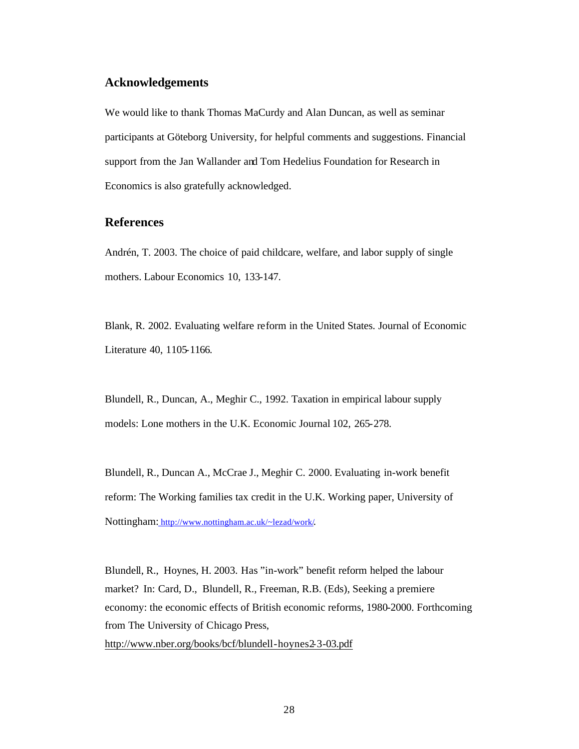#### **Acknowledgements**

We would like to thank Thomas MaCurdy and Alan Duncan, as well as seminar participants at Göteborg University, for helpful comments and suggestions. Financial support from the Jan Wallander and Tom Hedelius Foundation for Research in Economics is also gratefully acknowledged.

#### **References**

Andrén, T. 2003. The choice of paid childcare, welfare, and labor supply of single mothers. Labour Economics 10, 133-147.

Blank, R. 2002. Evaluating welfare reform in the United States. Journal of Economic Literature 40, 1105-1166.

Blundell, R., Duncan, A., Meghir C., 1992. Taxation in empirical labour supply models: Lone mothers in the U.K. Economic Journal 102, 265-278.

Blundell, R., Duncan A., McCrae J., Meghir C. 2000. Evaluating in-work benefit reform: The Working families tax credit in the U.K. Working paper, University of Nottingham: http://www.nottingham.ac.uk/~lezad/work/.

Blundell, R., Hoynes, H. 2003. Has "in-work" benefit reform helped the labour market? In: Card, D., Blundell, R., Freeman, R.B. (Eds), Seeking a premiere economy: the economic effects of British economic reforms, 1980-2000. Forthcoming from The University of Chicago Press,

http://www.nber.org/books/bcf/blundell-hoynes2-3-03.pdf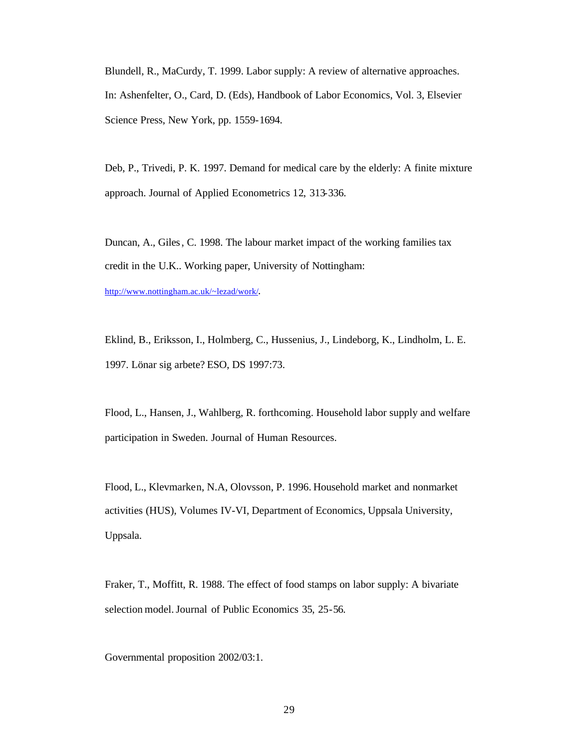Blundell, R., MaCurdy, T. 1999. Labor supply: A review of alternative approaches. In: Ashenfelter, O., Card, D. (Eds), Handbook of Labor Economics, Vol. 3, Elsevier Science Press, New York, pp. 1559-1694.

Deb, P., Trivedi, P. K. 1997. Demand for medical care by the elderly: A finite mixture approach. Journal of Applied Econometrics 12, 313-336.

Duncan, A., Giles, C. 1998. The labour market impact of the working families tax credit in the U.K.. Working paper, University of Nottingham:

http://www.nottingham.ac.uk/~lezad/work/.

Eklind, B., Eriksson, I., Holmberg, C., Hussenius, J., Lindeborg, K., Lindholm, L. E. 1997. Lönar sig arbete? ESO, DS 1997:73.

Flood, L., Hansen, J., Wahlberg, R. forthcoming. Household labor supply and welfare participation in Sweden. Journal of Human Resources.

Flood, L., Klevmarken, N.A, Olovsson, P. 1996. Household market and nonmarket activities (HUS), Volumes IV-VI, Department of Economics, Uppsala University, Uppsala.

Fraker, T., Moffitt, R. 1988. The effect of food stamps on labor supply: A bivariate selection model. Journal of Public Economics 35, 25-56.

Governmental proposition 2002/03:1.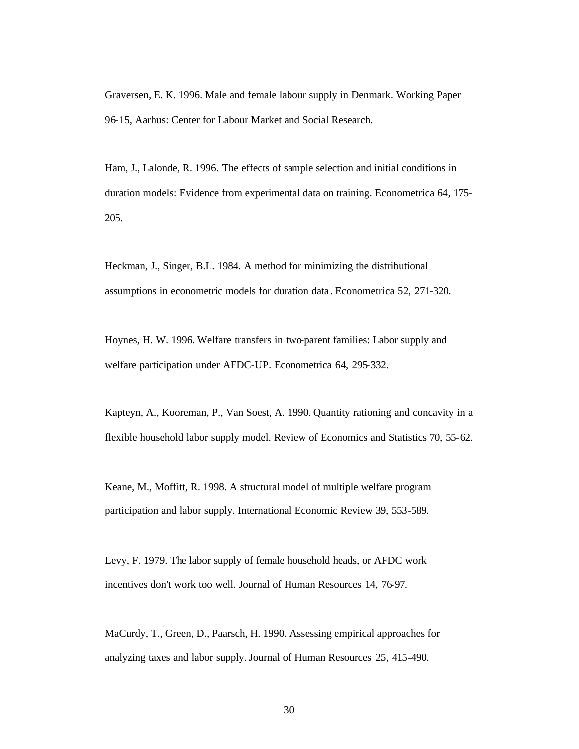Graversen, E. K. 1996. Male and female labour supply in Denmark. Working Paper 96-15, Aarhus: Center for Labour Market and Social Research.

Ham, J., Lalonde, R. 1996. The effects of sample selection and initial conditions in duration models: Evidence from experimental data on training. Econometrica 64, 175- 205.

Heckman, J., Singer, B.L. 1984. A method for minimizing the distributional assumptions in econometric models for duration data . Econometrica 52, 271-320.

Hoynes, H. W. 1996. Welfare transfers in two-parent families: Labor supply and welfare participation under AFDC-UP. Econometrica 64, 295-332.

Kapteyn, A., Kooreman, P., Van Soest, A. 1990. Quantity rationing and concavity in a flexible household labor supply model. Review of Economics and Statistics 70, 55-62.

Keane, M., Moffitt, R. 1998. A structural model of multiple welfare program participation and labor supply. International Economic Review 39, 553-589.

Levy, F. 1979. The labor supply of female household heads, or AFDC work incentives don't work too well. Journal of Human Resources 14, 76-97.

MaCurdy, T., Green, D., Paarsch, H. 1990. Assessing empirical approaches for analyzing taxes and labor supply. Journal of Human Resources 25, 415-490.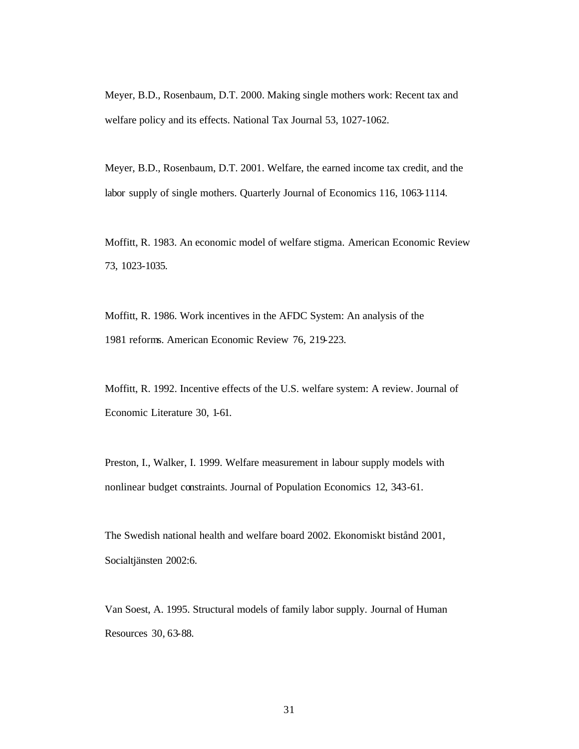Meyer, B.D., Rosenbaum, D.T. 2000. Making single mothers work: Recent tax and welfare policy and its effects. National Tax Journal 53, 1027-1062.

Meyer, B.D., Rosenbaum, D.T. 2001. Welfare, the earned income tax credit, and the labor supply of single mothers. Quarterly Journal of Economics 116, 1063-1114.

Moffitt, R. 1983. An economic model of welfare stigma. American Economic Review 73, 1023-1035.

Moffitt, R. 1986. Work incentives in the AFDC System: An analysis of the 1981 reforms. American Economic Review 76, 219-223.

Moffitt, R. 1992. Incentive effects of the U.S. welfare system: A review. Journal of Economic Literature 30, 1-61.

Preston, I., Walker, I. 1999. Welfare measurement in labour supply models with nonlinear budget constraints. Journal of Population Economics 12, 343-61.

The Swedish national health and welfare board 2002. Ekonomiskt bistånd 2001, Socialtjänsten 2002:6.

Van Soest, A. 1995. Structural models of family labor supply. Journal of Human Resources 30, 63-88.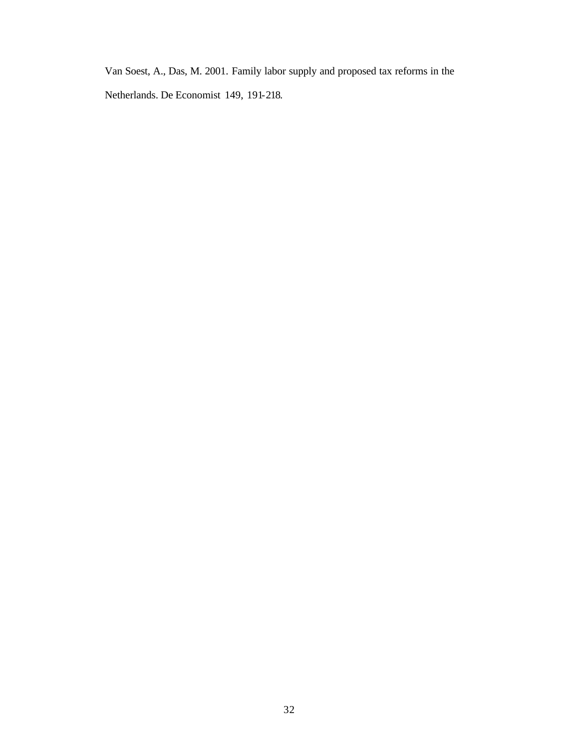Van Soest, A., Das, M. 2001. Family labor supply and proposed tax reforms in the

Netherlands. De Economist 149, 191-218.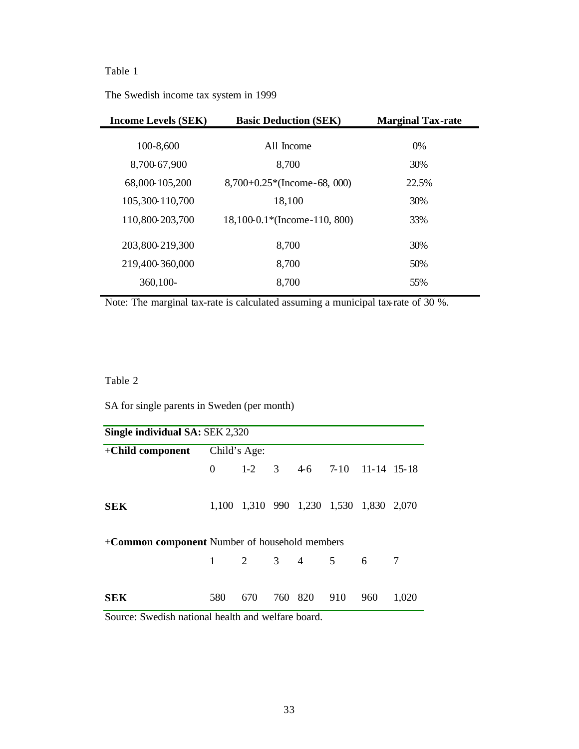The Swedish income tax system in 1999

| <b>Income Levels (SEK)</b> | <b>Basic Deduction (SEK)</b> | <b>Marginal Tax-rate</b> |
|----------------------------|------------------------------|--------------------------|
| 100-8,600                  | All Income                   | $0\%$                    |
| 8,700-67,900               | 8,700                        | 30%                      |
| 68,000-105,200             | $8,700+0.25*(Income-68,000)$ | 22.5%                    |
| 105,300-110,700            | 18,100                       | 30%                      |
| 110,800-203,700            | 18,100-0.1*(Income-110, 800) | 33%                      |
| 203,800-219,300            | 8,700                        | 30%                      |
| 219,400-360,000            | 8,700                        | 50%                      |
| 360,100-                   | 8,700                        | 55%                      |

Note: The marginal tax-rate is calculated assuming a municipal tax-rate of 30 %.

### Table 2

SA for single parents in Sweden (per month)

| Single individual SA: SEK 2,320                       |     |                         |  |         |     |                                                  |       |
|-------------------------------------------------------|-----|-------------------------|--|---------|-----|--------------------------------------------------|-------|
| $+$ Child component                                   |     | Child's Age:            |  |         |     |                                                  |       |
|                                                       |     |                         |  |         |     | $0 \t 1-2 \t 3 \t 4-6 \t 7-10 \t 11-14 \t 15-18$ |       |
| <b>SEK</b>                                            |     |                         |  |         |     | 1,100 1,310 990 1,230 1,530 1,830 2,070          |       |
| + <b>Common component</b> Number of household members |     |                         |  |         |     |                                                  |       |
|                                                       |     | $1 \t 2 \t 3 \t 4 \t 5$ |  |         |     | 6                                                | 7     |
| <b>SEK</b>                                            | 580 | 670                     |  | 760 820 | 910 | 960                                              | 1,020 |

Source: Swedish national health and welfare board.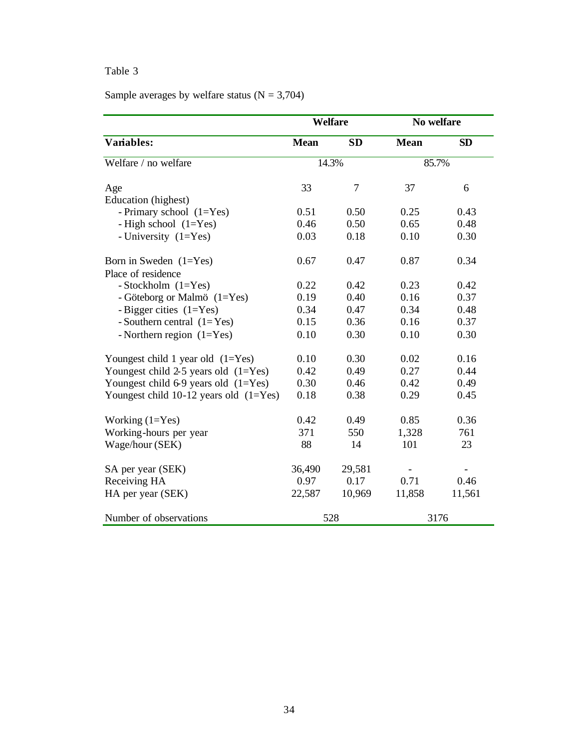Sample averages by welfare status  $(N = 3,704)$ 

|                                            |             | <b>Welfare</b> | No welfare  |           |
|--------------------------------------------|-------------|----------------|-------------|-----------|
| Variables:                                 | <b>Mean</b> | <b>SD</b>      | <b>Mean</b> | <b>SD</b> |
| Welfare / no welfare                       | 14.3%       |                | 85.7%       |           |
| Age                                        | 33          | 7              | 37          | 6         |
| Education (highest)                        |             |                |             |           |
| - Primary school $(1=Yes)$                 | 0.51        | 0.50           | 0.25        | 0.43      |
| - High school $(1=Yes)$                    | 0.46        | 0.50           | 0.65        | 0.48      |
| - University $(1=Yes)$                     | 0.03        | 0.18           | 0.10        | 0.30      |
| Born in Sweden $(1=Yes)$                   | 0.67        | 0.47           | 0.87        | 0.34      |
| Place of residence                         |             |                |             |           |
| - Stockholm $(1=Yes)$                      | 0.22        | 0.42           | 0.23        | 0.42      |
| - Göteborg or Malmö (1=Yes)                | 0.19        | 0.40           | 0.16        | 0.37      |
| - Bigger cities $(1=Yes)$                  | 0.34        | 0.47           | 0.34        | 0.48      |
| - Southern central $(1 = Yes)$             | 0.15        | 0.36           | 0.16        | 0.37      |
| - Northern region $(1=Yes)$                | 0.10        | 0.30           | 0.10        | 0.30      |
| Youngest child 1 year old $(1=Yes)$        | 0.10        | 0.30           | 0.02        | 0.16      |
| Youngest child $2-5$ years old $(1=Yes)$   | 0.42        | 0.49           | 0.27        | 0.44      |
| Youngest child $6-9$ years old $(1=Yes)$   | 0.30        | 0.46           | 0.42        | 0.49      |
| Youngest child $10-12$ years old $(1=Yes)$ | 0.18        | 0.38           | 0.29        | 0.45      |
| Working $(1=Yes)$                          | 0.42        | 0.49           | 0.85        | 0.36      |
| Working-hours per year                     | 371         | 550            | 1,328       | 761       |
| Wage/hour (SEK)                            | 88          | 14             | 101         | 23        |
| SA per year (SEK)                          | 36,490      | 29,581         |             |           |
| Receiving HA                               | 0.97        | 0.17           | 0.71        | 0.46      |
| HA per year (SEK)                          | 22,587      | 10,969         | 11,858      | 11,561    |
| Number of observations                     |             | 528            |             | 3176      |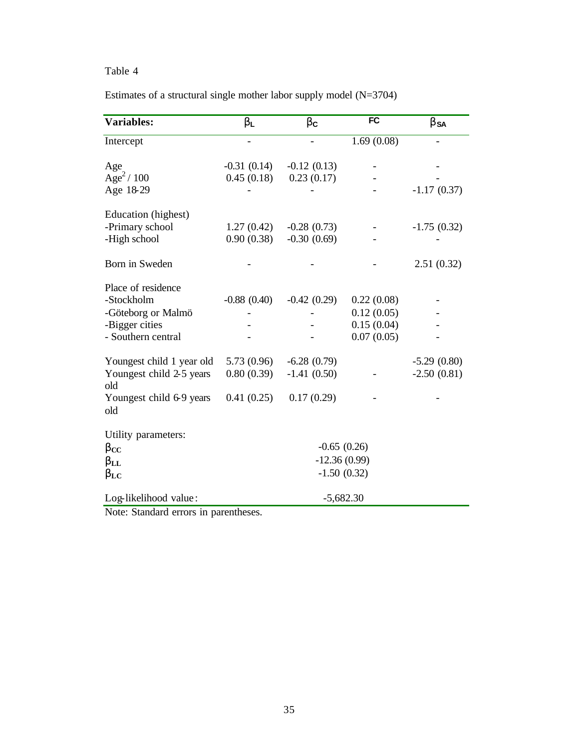|  | Estimates of a structural single mother labor supply model $(N=3704)$ |  |  |  |  |
|--|-----------------------------------------------------------------------|--|--|--|--|
|  |                                                                       |  |  |  |  |

| <b>Variables:</b>               | $\mathbf{b}_{\mathsf{L}}$ | $\mathbf{b}_c$ | <b>FC</b>   | $\mathbf{b}_{\text{SA}}$ |
|---------------------------------|---------------------------|----------------|-------------|--------------------------|
| Intercept                       | ÷,                        |                | 1.69(0.08)  |                          |
| Age                             | $-0.31(0.14)$             | $-0.12(0.13)$  |             |                          |
| Age <sup>2</sup> /100           | 0.45(0.18)                | 0.23(0.17)     |             |                          |
| Age 18-29                       |                           |                |             | $-1.17(0.37)$            |
| Education (highest)             |                           |                |             |                          |
| -Primary school                 | 1.27(0.42)                | $-0.28(0.73)$  |             | $-1.75(0.32)$            |
| -High school                    | 0.90(0.38)                | $-0.30(0.69)$  |             |                          |
| Born in Sweden                  |                           |                |             | 2.51(0.32)               |
| Place of residence              |                           |                |             |                          |
| -Stockholm                      | $-0.88(0.40)$             | $-0.42(0.29)$  | 0.22(0.08)  |                          |
| -Göteborg or Malmö              |                           |                | 0.12(0.05)  |                          |
| -Bigger cities                  |                           |                | 0.15(0.04)  |                          |
| - Southern central              |                           |                | 0.07(0.05)  |                          |
| Youngest child 1 year old       | 5.73(0.96)                | $-6.28(0.79)$  |             | $-5.29(0.80)$            |
| Youngest child 2-5 years<br>old | 0.80(0.39)                | $-1.41(0.50)$  |             | $-2.50(0.81)$            |
| Youngest child 6-9 years<br>old | 0.41(0.25)                | 0.17(0.29)     |             |                          |
| Utility parameters:             |                           |                |             |                          |
| $\mathbf{b}_{\mathrm{CC}}$      |                           | $-0.65(0.26)$  |             |                          |
| $\mathbf{b}_{\rm LL}$           |                           | $-12.36(0.99)$ |             |                          |
| $\mathbf{b}_{\rm LC}$           |                           | $-1.50(0.32)$  |             |                          |
| Log-likelihood value:           |                           |                | $-5,682.30$ |                          |

Note: Standard errors in parentheses.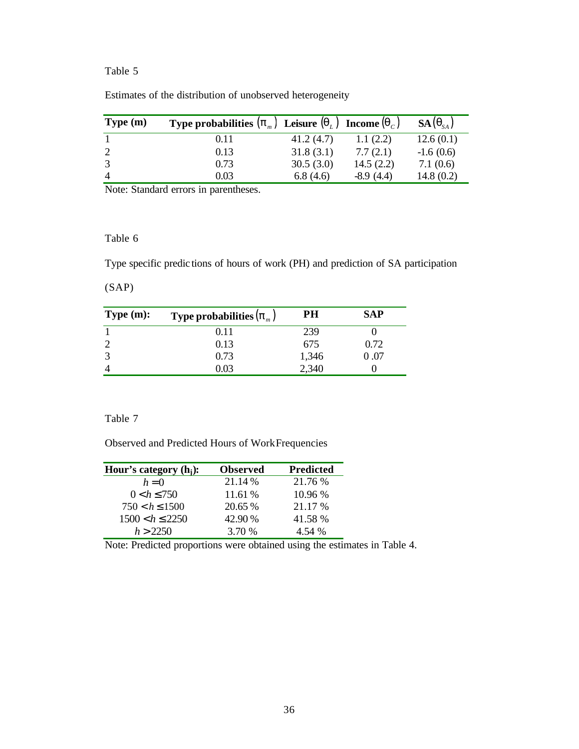| Type (m) | Type probabilities $(p_m)$ Leisure $(q_L)$ Income $(q_C)$ |           |             | $SA(q_{\scriptscriptstyle SA})$ |
|----------|-----------------------------------------------------------|-----------|-------------|---------------------------------|
|          | 0.11                                                      | 41.2(4.7) | 1.1(2.2)    | 12.6(0.1)                       |
|          | 0.13                                                      | 31.8(3.1) | 7.7(2.1)    | $-1.6(0.6)$                     |
|          | 0.73                                                      | 30.5(3.0) | 14.5(2.2)   | 7.1(0.6)                        |
|          | 0.03                                                      | 6.8(4.6)  | $-8.9(4.4)$ | 14.8(0.2)                       |

Estimates of the distribution of unobserved heterogeneity

Note: Standard errors in parentheses.

#### Table 6

Type specific predic tions of hours of work (PH) and prediction of SA participation

#### (SAP)

| Type $(m)$ : | <b>Type probabilities <math>(\boldsymbol{p}_m)</math></b> | PН    | SAP  |
|--------------|-----------------------------------------------------------|-------|------|
|              | 0.11                                                      | 239   |      |
|              | 0.13                                                      | 675   | 0.72 |
|              | 0.73                                                      | 1,346 | .07  |
|              | 0 03                                                      | 2,340 |      |

#### Table 7

Observed and Predicted Hours of Work Frequencies

| Hour's category $(h_i)$ : | <b>Observed</b> | <b>Predicted</b> |
|---------------------------|-----------------|------------------|
| $h=0$                     | 21.14 %         | 21.76 %          |
| $0 < h \le 750$           | 11.61 %         | 10.96 %          |
| $750 < h \le 1500$        | 20.65 %         | 21.17 %          |
| $1500 < h \le 2250$       | 42.90%          | 41.58 %          |
| h > 2250                  | 3.70 %          | 4.54 %           |

Note: Predicted proportions were obtained using the estimates in Table 4.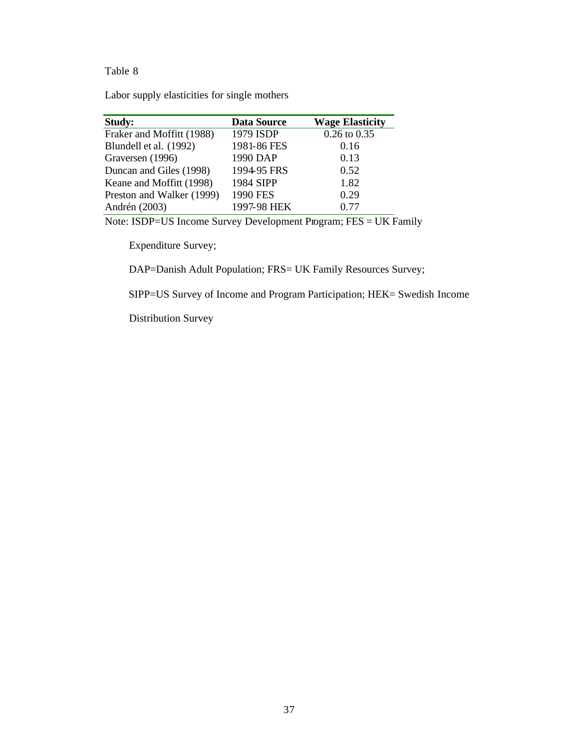Labor supply elasticities for single mothers

| <b>Study:</b>             | <b>Data Source</b> | <b>Wage Elasticity</b> |
|---------------------------|--------------------|------------------------|
| Fraker and Moffitt (1988) | 1979 ISDP          | $0.26$ to $0.35$       |
| Blundell et al. (1992)    | 1981-86 FES        | 0.16                   |
| Graversen (1996)          | 1990 DAP           | 0.13                   |
| Duncan and Giles (1998)   | 1994-95 FRS        | 0.52                   |
| Keane and Moffitt (1998)  | 1984 SIPP          | 1.82                   |
| Preston and Walker (1999) | 1990 FES           | 0.29                   |
| Andrén (2003)             | 1997-98 HEK        | 0.77                   |

Note: ISDP=US Income Survey Development Program; FES = UK Family

Expenditure Survey;

DAP=Danish Adult Population; FRS= UK Family Resources Survey;

SIPP=US Survey of Income and Program Participation; HEK= Swedish Income

Distribution Survey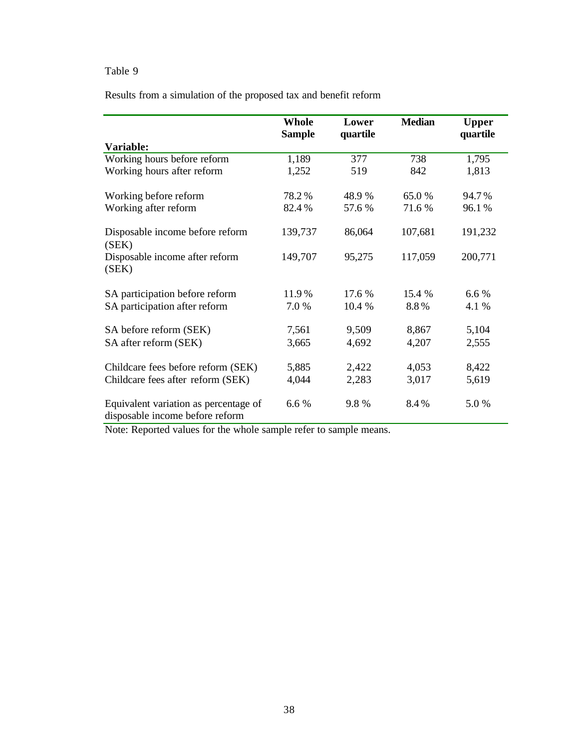Results from a simulation of the proposed tax and benefit reform

|                                                                          | Whole<br><b>Sample</b> | Lower<br>quartile | <b>Median</b> | <b>Upper</b><br>quartile |
|--------------------------------------------------------------------------|------------------------|-------------------|---------------|--------------------------|
| Variable:                                                                |                        |                   |               |                          |
| Working hours before reform                                              | 1,189                  | 377               | 738           | 1,795                    |
| Working hours after reform                                               | 1,252                  | 519               | 842           | 1,813                    |
| Working before reform                                                    | 78.2%                  | 48.9%             | 65.0%         | 94.7%                    |
| Working after reform                                                     | 82.4%                  | 57.6 %            | 71.6 %        | 96.1%                    |
| Disposable income before reform<br>(SEK)                                 | 139,737                | 86,064            | 107,681       | 191,232                  |
| Disposable income after reform<br>(SEK)                                  | 149,707                | 95,275            | 117,059       | 200,771                  |
| SA participation before reform                                           | 11.9%                  | 17.6 %            | 15.4 %        | 6.6 %                    |
| SA participation after reform                                            | 7.0 %                  | 10.4 %            | 8.8%          | 4.1 %                    |
| SA before reform (SEK)                                                   | 7,561                  | 9,509             | 8,867         | 5,104                    |
| SA after reform (SEK)                                                    | 3,665                  | 4,692             | 4,207         | 2,555                    |
| Childcare fees before reform (SEK)                                       | 5,885                  | 2,422             | 4,053         | 8,422                    |
| Childcare fees after reform (SEK)                                        | 4,044                  | 2,283             | 3,017         | 5,619                    |
| Equivalent variation as percentage of<br>disposable income before reform | 6.6 %                  | 9.8%              | 8.4%          | 5.0%                     |

Note: Reported values for the whole sample refer to sample means.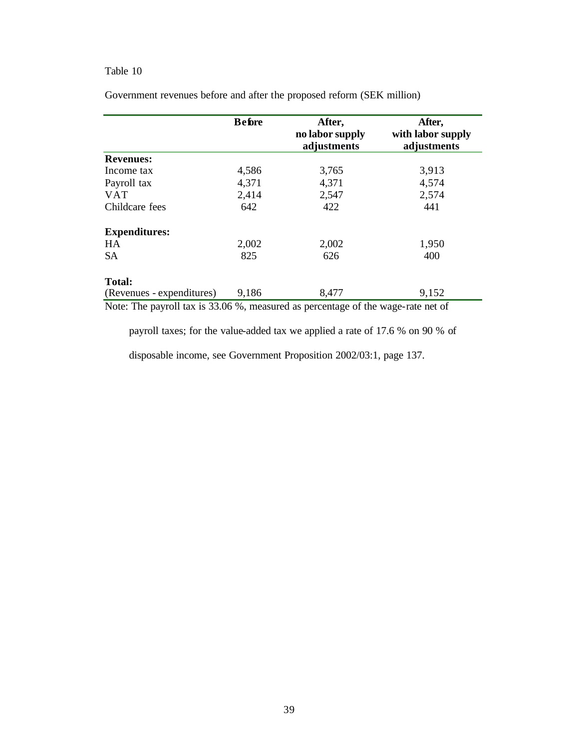|                           | <b>Before</b> | After,<br>no labor supply<br>adjustments | After,<br>with labor supply<br>adjustments |
|---------------------------|---------------|------------------------------------------|--------------------------------------------|
| <b>Revenues:</b>          |               |                                          |                                            |
| Income tax                | 4,586         | 3,765                                    | 3,913                                      |
| Payroll tax               | 4,371         | 4,371                                    | 4,574                                      |
| <b>VAT</b>                | 2,414         | 2,547                                    | 2,574                                      |
| Childcare fees            | 642           | 422                                      | 441                                        |
| <b>Expenditures:</b>      |               |                                          |                                            |
| HA                        | 2,002         | 2,002                                    | 1,950                                      |
| <b>SA</b>                 | 825           | 626                                      | 400                                        |
| <b>Total:</b>             |               |                                          |                                            |
| (Revenues - expenditures) | 9,186         | 8,477                                    | 9,152                                      |

Government revenues before and after the proposed reform (SEK million)

Note: The payroll tax is 33.06 %, measured as percentage of the wage-rate net of

payroll taxes; for the value-added tax we applied a rate of 17.6 % on 90 % of

disposable income, see Government Proposition 2002/03:1, page 137.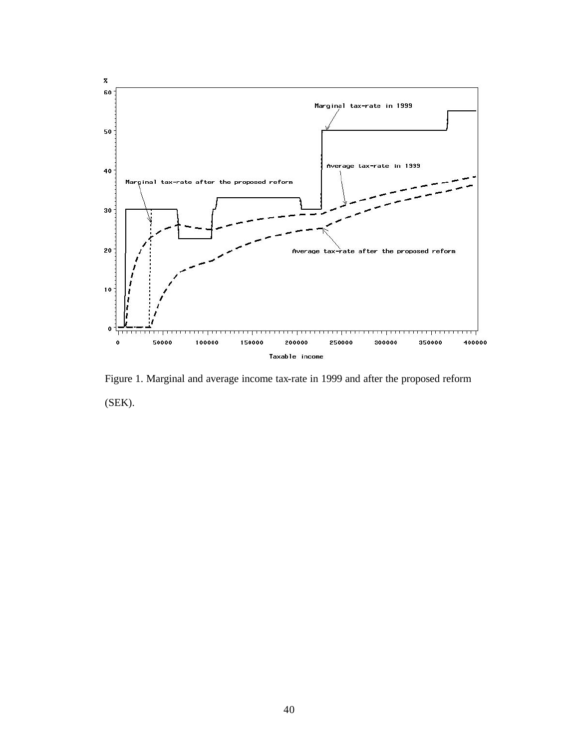

Figure 1. Marginal and average income tax-rate in 1999 and after the proposed reform (SEK).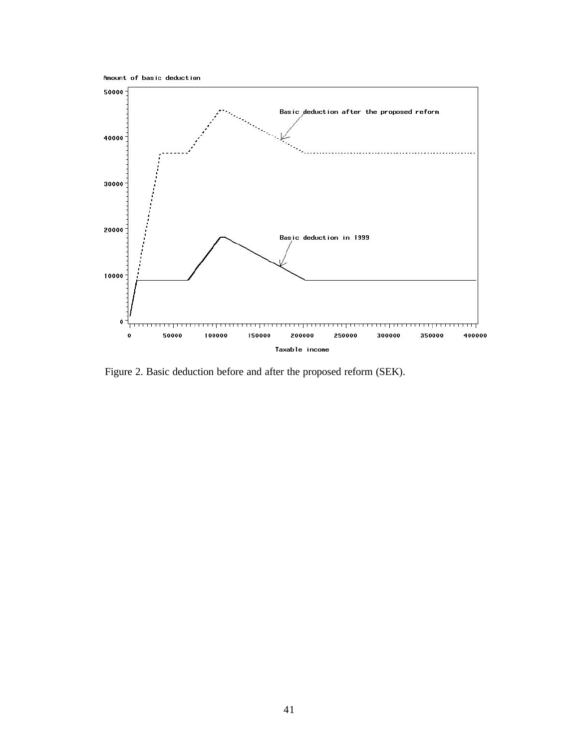



Figure 2. Basic deduction before and after the proposed reform (SEK).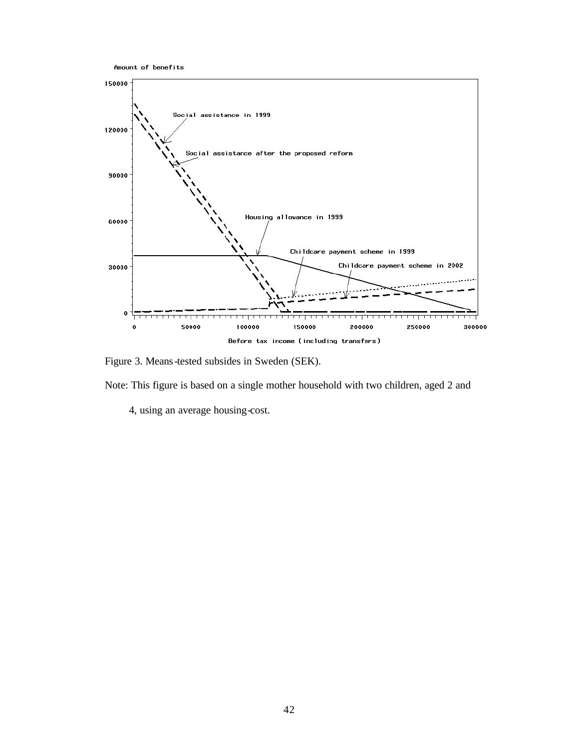



Figure 3. Means-tested subsides in Sweden (SEK).

Note: This figure is based on a single mother household with two children, aged 2 and

4, using an average housing-cost.